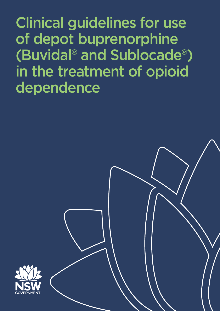Clinical guidelines for use of depot buprenorphine (Buvidal® and Sublocade®) in the treatment of opioid dependence

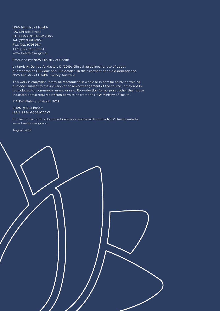NSW Ministry of Health 100 Christie Street ST LEONARDS NSW 2065 Tel. (02) 9391 9000 Fax. (02) 9391 9101 TTY. (02) 9391 9900 www.health.nsw.gov.au

Produced by: NSW Ministry of Health

Lintzeris N, Dunlop A, Masters D (2019) Clinical guidelines for use of depot buprenorphine (Buvidal® and Sublocade®) in the treatment of opioid dependence. NSW Ministry of Health, Sydney Australia

This work is copyright. It may be reproduced in whole or in part for study or training purposes subject to the inclusion of an acknowledgement of the source. It may not be reproduced for commercial usage or sale. Reproduction for purposes other than those indicated above requires written permission from the NSW Ministry of Health.

© NSW Ministry of Health 2019

SHPN (CPH) 190431 ISBN 978-1-76081-226-3

Further copies of this document can be downloaded from the NSW Health website www.health.nsw.gov.au

August 2019

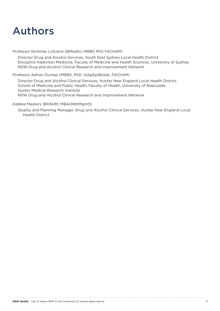

#### Professor Nicholas Lintzeris (BMedSci MBBS PhD FAChAM)

Director Drug and Alcohol Services, South East Sydney Local Health District Discipline Addiction Medicine, Faculty of Medicine and Health Sciences, University of Sydney NSW Drug and Alcohol Clinical Research and Improvement Network

#### Professor Adrian Dunlop (MBBS, PhD, GdipEpiBiotat, FAChAM)

Director Drug and Alcohol Clinical Services, Hunter New England Local Health District School of Medicine and Public Health, Faculty of Health, University of Newcastle Hunter Medical Research Institute NSW Drug and Alcohol Clinical Research and Improvement Network

#### Debbie Masters (BHSHM, MBA(HlthMgmt))

Quality and Planning Manager, Drug and Alcohol Clinical Services, Hunter New England Local Health District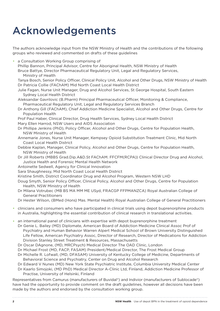## Acknowledgements

The authors acknowledge input from the NSW Ministry of Health and the contributions of the following groups who reviewed and commented on drafts of these guidelines

- a Consultation Working Group comprising of Phillip Bannon, Principal Advisor, Centre for Aboriginal Health, NSW Ministry of Health Bruce Battye, Director Pharmaceutical Regulatory Unit, Legal and Regulatory Services, Ministry of Health Tanya Bosch, Senior Policy Officer, Clinical Policy Unit, Alcohol and Other Drugs, NSW Ministry of Health Dr Patricia Collie (FAChAM) Mid North Coast Local Health District Julie Fagan, Nurse Unit Manager, Drug and Alcohol Services, St George Hospital, South Eastern Sydney Local Health District Aleksandar Gavrilovic (B.Pharm) Principal Pharmaceutical Officer, Monitoring & Compliance, Pharmaceutical Regulatory Unit, Legal and Regulatory Services Branch Dr Anthony Gill (FAChAM), Chief Addiction Medicine Specialist, Alcohol and Other Drugs, Centre for Population Health Prof Paul Haber, Clinical Director, Drug Health Services, Sydney Local Health District Mary Ellen Harrod, NSW Users and AIDS Association Dr Phillipa Jenkins (PhD), Policy Officer, Alcohol and Other Drugs, Centre for Population Health, NSW Ministry of Health Annemarie Jones, Nurse Unit Manager, Kempsey Opioid Substitution Treatment Clinic, Mid North Coast Local Health District Debbie Kaplan, Manager, Clinical Policy, Alcohol and Other Drugs, Centre for Population Health,
	- NSW Ministry of Health Dr Jill Roberts (MBBS Grad.Dip.A&D.St FAChAM. FFCFM(RCPA)) Clinical Director Drug and Alcohol, Justice Health and Forensic Mental Health Network
	- Antoinette Sedwell, Agency for Clinical Innovation
	- Sara Shaughnessy, Mid North Coast Local Health District
	- Kristine Smith, District Coordinator Drug and Alcohol Program, Western NSW LHD
	- Doug Smyth, Senior Policy Officer, Clinical Policy, Alcohol and Other Drugs, Centre for Population Health, NSW Ministry of Health
	- Dr Milana Votrubec (MB BS MA MM ME USyd, FRACGP FFPMANZCA) Royal Australian College of General Practitioners
	- Dr Hester Wilson, (BMed (Hons) Mas. Mental Health) Royal Australian College of General Practitioners
- clinicians and consumers who have participated in clinical trials using depot buprenorphine products in Australia, highlighting the essential contribution of clinical research in translational activities.
- an international panel of clinicians with expertise with depot buprenorphine treatment
	- Dr Genie L. Bailey (MD) Diplomate, American Board of Addiction Medicine Clinical Assoc Prof of Psychiatry and Human Behavior Warren Alpert Medical School of Brown University Distinguished Life Fellow, American Psychiatry Assoc, Director of Research, Director of Medications for Addiction Division Stanley Street Treatment & Resources, Massachusetts
	- Dr Oscar DAgnone, (MD, MRCPsych) Medical Director The OAD Clinic, London
	- Dr Michael Frost (MD, FACP, FASAM) President/Medical Director, The Frost Medical Group
	- Dr Michelle R. Lofwall, (MD, DFASAM) University of Kentucky College of Medicine, Departments of Behavioral Science and Psychiatry, Center on Drug and Alcohol Research
	- Dr Edward V Nunes (MD) New York State Psychiatric Institute, Columbia University Medical Center
	- Dr Kaarlo Simojoki, (MD PhD) Medical Director A-Clinic Ltd, Finland, Addiction Medicine Professor of Practise, University of Helsinki, Finland

Representatives from Camurus (manufacturers of Buvidal®) and Indivior (manufacturers of Sublocade®) have had the opportunity to provide comment on the draft guidelines, however all decisions have been made by the authors and endorsed by the consultation working group.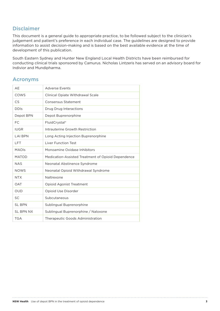## Disclaimer

This document is a general guide to appropriate practice, to be followed subject to the clinician's judgement and patient's preference in each individual case. The guidelines are designed to provide information to assist decision-making and is based on the best available evidence at the time of development of this publication.

South Eastern Sydney and Hunter New England Local Health Districts have been reimbursed for conducting clinical trials sponsored by Camurus. Nicholas Lintzeris has served on an advisory board for Indivior and Mundipharma.

## Acronyms

| AF               | <b>Adverse Events</b>                              |
|------------------|----------------------------------------------------|
| <b>COWS</b>      | Clinical Opiate Withdrawal Scale                   |
| CS               | Consensus Statement                                |
| <b>DDIS</b>      | Drug Drug Interactions                             |
| Depot BPN        | Depot Buprenorphine                                |
| FC.              | FluidCrystal®                                      |
| <b>IUGR</b>      | Intrauterine Growth Restriction                    |
| <b>LAI BPN</b>   | Long Acting Injection Buprenorphine                |
| <b>LFT</b>       | <b>Liver Function Test</b>                         |
| <b>MAOIS</b>     | Monoamine Oxidase Inhibitors                       |
| <b>MATOD</b>     | Medication-Assisted Treatment of Opioid Dependence |
| <b>NAS</b>       | Neonatal Abstinence Syndrome                       |
| <b>NOWS</b>      | Neonatal Opioid Withdrawal Syndrome                |
|                  |                                                    |
| <b>NTX</b>       | Naltrexone                                         |
| <b>OAT</b>       | <b>Opioid Agonist Treatment</b>                    |
| <b>OUD</b>       | Opioid Use Disorder                                |
| <b>SC</b>        | Subcutaneous                                       |
| <b>SL BPN</b>    | Sublingual Buprenorphine                           |
| <b>SL BPN NX</b> | Sublingual Buprenorphine / Naloxone                |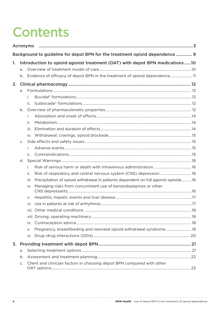# **Contents**

|    |                | <b>Acronyms</b>                                                                            |  |
|----|----------------|--------------------------------------------------------------------------------------------|--|
|    |                | Background to guideline for depot BPN for the treatment opioid dependence  9               |  |
| 1. |                | Introduction to opioid agonist treatment (OAT) with depot BPN medications10                |  |
|    | a.             |                                                                                            |  |
|    | b.             | Evidence of efficacy of depot BPN in the treatment of opioid dependence 11                 |  |
|    |                |                                                                                            |  |
|    | a.             |                                                                                            |  |
|    |                | i.                                                                                         |  |
|    |                | ii.                                                                                        |  |
|    | b <sub>1</sub> |                                                                                            |  |
|    |                | i.                                                                                         |  |
|    |                | ii.                                                                                        |  |
|    |                | iii.                                                                                       |  |
|    |                |                                                                                            |  |
|    | $C_{\cdot}$    |                                                                                            |  |
|    |                | i.                                                                                         |  |
|    |                | ii.                                                                                        |  |
|    | d.             |                                                                                            |  |
|    |                | i.                                                                                         |  |
|    |                | Risk of respiratory and central nervous system (CNS) depression 16<br>ii.                  |  |
|    |                | Precipitation of opioid withdrawal in patients dependent on full agonist opioids16<br>iii. |  |
|    |                | Managing risks from concomitant use of benzodiazepines or other<br>iv.                     |  |
|    |                | V.                                                                                         |  |
|    |                |                                                                                            |  |
|    |                |                                                                                            |  |
|    |                |                                                                                            |  |
|    |                | IX.                                                                                        |  |
|    |                | Pregnancy, breastfeeding and neonatal opioid withdrawal syndrome 18<br>Х.                  |  |
|    |                | xi.                                                                                        |  |
| 3. |                |                                                                                            |  |
|    | a.             |                                                                                            |  |
|    | $b$ .          |                                                                                            |  |
|    | $C_{\cdot}$    | Client and clinician factors in choosing depot BPN compared with other                     |  |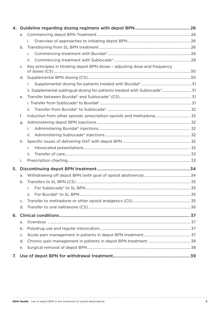|    | a.             |                                                                            |  |  |
|----|----------------|----------------------------------------------------------------------------|--|--|
|    |                | i.                                                                         |  |  |
|    | b.             |                                                                            |  |  |
|    |                | i.                                                                         |  |  |
|    |                | ii.                                                                        |  |  |
|    | $C_{1}$        | Key principles in titrating depot BPN doses - adjusting dose and frequency |  |  |
|    | d.             |                                                                            |  |  |
|    |                | i.                                                                         |  |  |
|    |                | ii. Supplemental sublingual dosing for patients treated with Sublocade® 31 |  |  |
|    | е.             |                                                                            |  |  |
|    |                |                                                                            |  |  |
|    |                | ii.                                                                        |  |  |
|    | f.             |                                                                            |  |  |
|    | g.             |                                                                            |  |  |
|    |                | i.                                                                         |  |  |
|    |                | ii.                                                                        |  |  |
|    | h.             |                                                                            |  |  |
|    |                | i.                                                                         |  |  |
|    |                | ii.                                                                        |  |  |
|    | i.             |                                                                            |  |  |
| 5. |                |                                                                            |  |  |
|    | a.             |                                                                            |  |  |
|    | b.             |                                                                            |  |  |
|    |                | i.                                                                         |  |  |
|    |                | ii.                                                                        |  |  |
|    | $\mathsf{C}$ . |                                                                            |  |  |
|    | d.             |                                                                            |  |  |
| 6. |                |                                                                            |  |  |
|    | a.             |                                                                            |  |  |
|    | b.             |                                                                            |  |  |
|    | $C_{1}$        |                                                                            |  |  |
|    | d.             |                                                                            |  |  |
|    | е.             |                                                                            |  |  |
| 7. |                |                                                                            |  |  |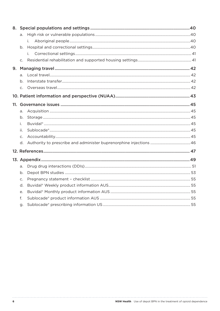| a.             |      |  |
|----------------|------|--|
|                | i.   |  |
| b.             |      |  |
|                | i. I |  |
| $C_{1}$        |      |  |
|                |      |  |
| a <sub>z</sub> |      |  |
| b <sub>1</sub> |      |  |
| $C_{\cdot}$    |      |  |
|                |      |  |
|                |      |  |
| a.             |      |  |
| b.             |      |  |
| i.             |      |  |
| ii.            |      |  |
| C <sub>1</sub> |      |  |
| d.             |      |  |
|                |      |  |
|                |      |  |
| a.             |      |  |
| b.             |      |  |
| C <sub>1</sub> |      |  |
| d.             |      |  |
| е.             |      |  |
| f.             |      |  |
| g.             |      |  |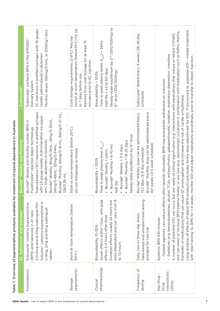|                                                         | SL Suboxone® and Subutex                                                                                                                                                                       | vidal® Weekly and Monthly<br>മ്                                                                                                                                                                                                                                                                                                                                                                                                                                                                                                                                                                                                                                                                                                                                                                                                                                                           | <b>Sublocade</b>                                                                                                                                                                                           |
|---------------------------------------------------------|------------------------------------------------------------------------------------------------------------------------------------------------------------------------------------------------|-------------------------------------------------------------------------------------------------------------------------------------------------------------------------------------------------------------------------------------------------------------------------------------------------------------------------------------------------------------------------------------------------------------------------------------------------------------------------------------------------------------------------------------------------------------------------------------------------------------------------------------------------------------------------------------------------------------------------------------------------------------------------------------------------------------------------------------------------------------------------------------------|------------------------------------------------------------------------------------------------------------------------------------------------------------------------------------------------------------|
| Formulations                                            | Subutex® contains buprenorphine in<br>Suboxone® contains buprenorphine<br>2/0.5mg and 8/2mg sublingual film<br>0.4mg, 2mg and 8mg sublingual<br>(BPN) and naloxone in 4:1 ratio<br>tablets     | Subcutaneous (SC) injections in prefilled syringes<br>Buvidal® Monthly: 64mg/0.18 mL, 96mg/0.27 mL;<br>with 23 gauge needle. Administration via upper<br>Buvidal® Weekly: 8mg/0.16mL, 16mg/0.32mL,<br>Buvidal® Weekly and Monthly contain BPN in<br>FluidCrystal® injection depot technology<br>arm, thigh, abdomen or buttocks<br>24mg/0.48mL; 32mg/0.64mL<br>128/0.36 mL                                                                                                                                                                                                                                                                                                                                                                                                                                                                                                                | Monthly doses: 100mg/0.5mL or 300mg/1.5mL<br>SC injections in prefilled syringes with 19 gauge<br>Sublocade® contains BPN in the ATRIGEL®<br>needle administered in abdomen<br>Delivery System             |
| requirements<br>Storage                                 | Store at room temperature (below<br>$30^{\circ}$ C)                                                                                                                                            | Store at room temperature (below 25°C)<br>Do not refrigerate or freeze.                                                                                                                                                                                                                                                                                                                                                                                                                                                                                                                                                                                                                                                                                                                                                                                                                   | stored at room temperature (below25°C) for up<br>Cold storage requirements (2-8°C). May be<br>Remove from cold storage for at least 15<br>minutes prior to SC injection<br>to 7 days before use            |
| pharmacology<br>Clinical                                | Onset effects within 1 hour, with peak<br>Duration effects usually 24 hours but<br>dose dependent and can vary from 8<br>effects 2-4 hours after dose<br>Bioavailability 10-30%<br>to 72 hours | Steady-state equilibrium by 4 <sup>th</sup> dose<br>Buvidal® Monthly = 19-25 days<br>Time to peak plasma level (t <sub>max</sub> )<br>Buvidal® Monthly = 6-10 hrs<br>Buvidal <sup>®</sup> Weekly = 3-5 days<br>Buvidal <sup>®</sup> Weekly = 24hrs<br>Bioavailability = 100%<br>Half life                                                                                                                                                                                                                                                                                                                                                                                                                                                                                                                                                                                                 | Steady-state equilibrium by 2 <sup>nd</sup> (300/100mg) to<br>Time to peak plasma levels $(t_{max}) = 24$ hrs<br>Half life = $43$ to 60 days<br>6 <sup>th</sup> dose (300/300mg)<br>Bioavailability = 100% |
| Frequency of<br>dosing                                  | Take-aways and unsupervised dosing<br>Daily, two or three day doses<br>available for low risk                                                                                                  | Buvidal® Monthly dose can be administered every<br>Buvidal® Weekly dose can be administered every<br>4±1 weeks (3-5 week schedule)<br>7±2 days (5-9 day schedule)                                                                                                                                                                                                                                                                                                                                                                                                                                                                                                                                                                                                                                                                                                                         | Sublocade® dosed every 4 weeks (26-42 day<br>schedule)                                                                                                                                                     |
| Interactions<br>Key Drug<br>(DDI <sub>S</sub> )<br>Drug | tramadol; or medications that can cause QT<br>Systemic BPN DDI include:                                                                                                                        | Long duration of effects of depot BPN products precludes timely dose adjustment for DDI. If concerned re: potential DDI - initiate treatment<br>and can lower or increase BPN plasma levels); or are rare (e.g. serotonergic syndrome in combination with medication such as SSRIs, MAOIs,<br>A number of potential DDI can occur but are rarely of clinical significance (e.g. interactions with medications that induce or inhibit CYP450<br>Sedatives (e.g. benzodiazepines, alcohol, TCAs, antipsychotics, gabapentinoids): sedation, respiratory depression, overdose<br>with 'short acting' SL BPN for 1-4 weeks, monitor DDI and adjust medications accordingly, prior to transfer to depot injection.<br>Opioids agonists: can reduce effects other opioids (blockade); BPN may precipitate withdrawal on induction<br>prolongation and increase the risk of cardia arrhythmias). |                                                                                                                                                                                                            |

Table 1: Overview of buprenorphine products available for treatment of opioid dependence in Australia Table 1: Overview of buprenorphine products available for treatment of opioid dependence in Australia

L.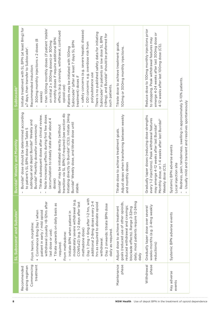| 8                                                                 | Recommended                               | SL Suboxone® and Subutex                                                                                                                                                                        | Buvidal® dose should be determined according<br>vidal® Weekly and Monthly<br>$\overline{\mathbf{c}}$<br>$\overline{\phantom{a}}$                                                                                                       | Initiate treatment with SL BPN (at least 8mg) for<br>Sublocade                                                                                                                                   |
|-------------------------------------------------------------------|-------------------------------------------|-------------------------------------------------------------------------------------------------------------------------------------------------------------------------------------------------|----------------------------------------------------------------------------------------------------------------------------------------------------------------------------------------------------------------------------------------|--------------------------------------------------------------------------------------------------------------------------------------------------------------------------------------------------|
|                                                                   | treatment<br>Commencing<br>dosing regimen | Commence 8mg Day 1 when<br>patient in early / mild opioid<br>From heroin, morphine:                                                                                                             | Titrate subsequent doses after clinical review.<br>sublingual and depot Buvidal® Weekly and<br>Buvidal® Monthly dosesfor conversions)<br>to patient's SL BPN dose (see Table 5<br>$\mathbf{I}$                                         | 300mg monthly injections x 2 doses (8<br>az days, then transfer to Sublocade®.<br>Recommended induction:<br>weeks)                                                                               |
|                                                                   |                                           | withdrawal (usually >8-12hrs after<br>Titrate upwards on daily basis as<br>last dose or use).<br>From methadone:<br>required<br>$\bullet$                                                       | transition via SL BPN) if required (see section 4b<br>Note increasing effects during first few doses<br>(accumulation to steady state after about 4<br>Buvidal® may be initiated directly (without<br>doses)<br>J.                     | then 100mg monthly doses (if patient 'stable'<br>effects (e.g. cravings, withdrawal, continued<br>monthly doses if require additional BPN<br>on initial 2 x 300mg doses) or 300mg<br>opioid use) |
|                                                                   |                                           | moderately severe withdrawal (e.g<br>COWS=12) (e.g. 1-2 days after last<br>Initiate BPN when patient in<br>methadone dose)                                                                      | Initiating directly to Buvidal® (CS)). Initiate 24mg<br>Buvidal® Weekly dose, and titrate dose until<br>stable.                                                                                                                        | safety concerns (e.g. severe hepatic disease)<br>Sublocade® (after at least 7 days SL BPN<br>Patients may be initiated with 100mg<br>treatment) doses if                                         |
|                                                                   |                                           | Day 1: 2mg + 6mg after 1-2 hrs, with<br>additional 2-8mg doses every 2-4<br>$\mathbf{I}$                                                                                                        |                                                                                                                                                                                                                                        | DDI concerns: e.g. overdose risk from<br>polysubstance use                                                                                                                                       |
|                                                                   |                                           | nrs as required to alleviate opioid<br>Day 2 onwards: titrate BPN dose<br>daily as required<br>withdrawal.<br>I                                                                                 |                                                                                                                                                                                                                                        | There is no published safety data for initiating<br>(<8mg), and Buvidal® should be preferred for<br>Sublocade® in patients on low dose SL BPN<br>such patients.                                  |
| NSW Health Use of depot BPN in the treatment of opioid dependence | Maintenance<br>phase                      | daily; most patients require 12-24mg<br>goals (reduced use of other opioids<br>reduced withdrawal and cravings;<br>Adjust dose to achieve treatment<br>blockade effects). Range 2-32mg<br>daily | Adjust doses when transferring between weekly<br>Titrate dose to achieve treatment goals.<br>and monthly doses                                                                                                                         | Titrate dose to achieve treatment goals.<br>100mg or 300mg monthly injections                                                                                                                    |
|                                                                   | Withdrawal<br>phase                       | weeks-months (e.g. 2-4mg weekly<br>Gradually taper dose over several<br>reductions)                                                                                                             | adually taper doses (reducing dose strengths<br>every 1-2 injections). Peak withdrawal features<br>Monthly dose, or 1-4 weeks after last Buvidal®<br>may emerge 4-12 weeks after last Buvidal®<br>Weekly dose (CS)<br>$\tilde{\sigma}$ | Reduce dose to 100mg monthly injections prior<br>emerge 4-24 weeks after last 300mg dose or<br>to stopping. Peak withdrawal features may<br>4-12 weeks after last 100mg dose (CS)                |
|                                                                   | Key adverse<br>events                     | Systemic BPN adverse events                                                                                                                                                                     | Redness, pain, tenderness, swelling in approximately 5-10% patients.<br>Usually mild and transient and resolves spontaneously<br>Systemic BPN adverse events<br>Local injection site<br>$\mathsf I$<br>$\overline{\phantom{a}}$        |                                                                                                                                                                                                  |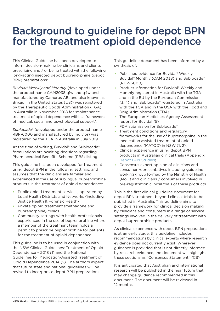## Background to guideline for depot BPN for the treatment opioid dependence

This Clinical Guideline has been developed to inform decision-making by clinicians and clients prescribing and / or being treated with the following long-acting injected depot buprenorphine (depot BPN) preparations:

*Buvidal*® *Weekly and Monthly* (developed under the product name CAM2038 q1w and q4w and manufactured by Camurus AB, and also known as Brixadi in the United States (US)) was registered by the Therapeutic Goods Administration (TGA) in Australia in November 2018 for 'maintenance treatment of opioid dependence within a framework of medical, social and psychological support'.

*Sublocade*® (developed under the product name RBP-6000 and manufactured by Indivior) was registered by the TGA in Australia in July 2019.

At the time of writing, Buvidal<sup>®</sup> and Sublocade<sup>®</sup> formulations are awaiting decisions regarding Pharmaceutical Benefits Scheme (PBS) listing.

This guideline has been developed for treatment using depot BPN in the following settings, and assumes that the clinicians are familiar and experienced in the use of sublingual buprenorphine products in the treatment of opioid dependence:

- Public opioid treatment services, operated by Local Health Districts and Networks (including Justice Health & Forensic Health)
- Private opioid treatment (methadone and buprenorphine) clinics
- Community settings with health professionals experienced in the use of buprenorphine where a member of the treatment team holds a permit to prescribe buprenorphine for patients for the treatment of opioid dependence.

This guideline is to be used in conjunction with the NSW Clinical Guidelines: Treatment of Opioid Dependence – 2018 (1) and the National Guidelines for Medication-Assisted Treatment of Opioid Dependence 2014 (2). The authors expect that future state and national guidelines will be revised to incorporate depot BPN preparations.

This guideline document has been informed by a synthesis of:

- Published evidence for Buvidal® Weekly, Buvidal® Monthly (CAM 2038) and Sublocade® (RBP-6000)
- Product information for Buvidal® Weekly and Monthly registered in Australia with the TGA and in the EU by the European Commission (3, 4) and, Sublocade® registered in Australia with the TGA and in the USA with the Food and Drug Administration (FDA)
- The European Medicines Agency Assessment report for Buvidal (5)
- FDA submission for Sublocade®
- Treatment conditions and regulatory frameworks for the use of buprenorphine in the medication assisted treatment of opioid dependence (MATOD) in NSW (1, 2);
- Clinical experience in using depot BPN products in Australian clinical trials (Appendix Depot BPN Studies)
- Consensus expert opinion of clinicians and consumer representatives including guideline working group formed by the Ministry of Health (MoH) and clinicians / consumers involved in pre-registration clinical trials of these products.

This is the first clinical guideline document for depot BPN treatment beyond clinical trials to be published in Australia. This guideline aims to provide a framework for clinical decision making by clinicians and consumers in a range of service settings involved in the delivery of treatment with depot buprenorphine products.

As clinical experience with depot BPN preparations is at an early stage, this guideline includes recommendations by clinical experts where research evidence does not currently exist. Wherever guidance is provided that is not directly informed by research evidence, the document will highlight these sections as "Consensus Statement" (CS).

It is anticipated that Australian and international research will be published in the near future that may change guidance recommended in this document. The document will be reviewed in 12 months.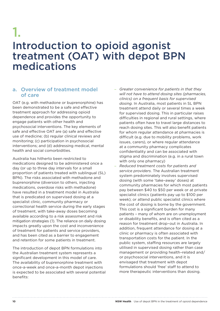## 1. Introduction to opioid agonist treatment (OAT) with depot BPN medications

## a. Overview of treatment model of care

OAT (e.g. with methadone or buprenorphine) has been demonstrated to be a safe and effective treatment approach for addressing opioid dependence and provides the opportunity to engage patients with other health and psychosocial interventions. The key elements of safe and effective OAT are (a) safe and effective use of medicine; (b) regular clinical reviews and monitoring; (c) participation in psychosocial interventions; and (d) addressing medical, mental health and social comorbidities.

Australia has hitherto been restricted to medications designed to be administered once a day (or up to three day intervals for a small proportion of patients treated with sublingual (SL) BPN). The risks associated with methadone and buprenorphine (diversion to others, injecting medications, overdose risks with methadone) have resulted in a treatment model in Australia that is predicated on supervised dosing at a specialist clinic, community pharmacy or correctional health service during the early stages of treatment, with take-away doses becoming available according to a risk assessment and risk mitigation strategies (1). The reliance on daily dosing impacts greatly upon the cost and inconvenience of treatment for patients and service providers, and has been cited as a barrier to engagement and retention for some patients in treatment.

The introduction of depot BPN formulations into the Australian treatment system represents a significant development in this model of care. The availability of buprenorphine treatment with once-a-week and once-a-month depot injections is expected to be associated with several potential benefits:

- *Greater convenience for patients in that they will not have to attend dosing sites (pharmacies, clinics) on a frequent basis for supervised dosing.* In Australia, most patients in SL BPN treatment attend daily or several times a week for supervised dosing. This in particular raises difficulties in regional and rural settings, where patients often have to travel large distances to reach dosing sites. This will also benefit patients for whom regular attendance at pharmacies is difficult (e.g. due to mobility problems, work issues, carers), or where regular attendance at a community pharmacy complicates confidentiality and can be associated with stigma and discrimination (e.g. in a rural town with only one pharmacy)
- *Reduced treatment costs for patients and service providers.* The Australian treatment system predominately involves supervised dosing (with some 'take–away' doses) at community pharmacies for which most patients pay between \$40 to \$50 per week or at private specialist clinics (patients pay up to \$100 per week); or attend public specialist clinics where the cost of dosing is borne by the government. This cost is a significant burden for many patients – many of whom are on unemployment or disability benefits, and is often cited as a reason for treatment drop–out in Australia. In addition, frequent attendance for dosing at a clinic or pharmacy is often associated with transportation costs for the patient. In the public system, staffing resources are largely utilised in supervised dosing rather than case management or providing health–related and/ or psychosocial interventions, and it is envisaged that treatment with depot formulations should 'free' staff to attend to more therapeutic interventions than dosing.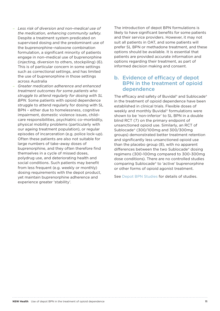- *Less risk of diversion and non–medical use of the medication, enhancing community safety.* Despite a treatment system predicated on supervised dosing and the predominant use of the buprenorphine–naloxone combination formulation, a significant minority of patients engage in non–medical use of buprenorphine (injecting, diversion to others, stockpiling) (6). This is of particular concern in some settings such as correctional settings, and has limited the use of buprenorphine in those settings across Australia
- *Greater medication adherence and enhanced treatment outcomes for some patients who struggle to attend regularly for dosing with SL BPN.* Some patients with opioid dependence struggle to attend regularly for dosing with SL BPN – either due to homelessness, cognitive impairment, domestic violence issues, child– care responsibilities, psychiatric co–morbidity, physical mobility problems (particularly with our ageing treatment population), or regular episodes of incarceration (e.g. police lock–up). Often these patients are also not suitable for large numbers of take–away doses of buprenorphine, and they often therefore find themselves in a cycle of missed doses, polydrug use, and deteriorating health and social conditions. Such patients may benefit from less frequent (e.g. weekly or monthly) dosing requirements with the depot product, yet maintain buprenorphine adherence and experience greater 'stability'.

The introduction of depot BPN formulations is likely to have significant benefits for some patients and their service providers. However, it may not suit all patients in OAT, and some patients will prefer SL BPN or methadone treatment, and these options should be available. It is essential that patients are provided accurate information and options regarding their treatment, as part of informed decision making and consent.

### b. Evidence of efficacy of depot BPN in the treatment of opioid dependence

The efficacy and safety of Buvidal® and Sublocade® in the treatment of opioid dependence have been established in clinical trials. Flexible doses of weekly and monthly Buvidal® formulations were shown to be 'non-inferior' to SL BPN in a double blind RCT (7) on the primary endpoint of unsanctioned opioid use. Similarly, an RCT of Sublocade® (300/100mg and 300/300mg groups) demonstrated better treatment retention and significantly less unsanctioned opioid use than the placebo group (8), with no apparent differences between the two Sublocade® dosing regimens (300-100mg compared to 300-300mg dose conditions). There are no controlled studies comparing Sublocade® to 'active' buprenorphine or other forms of opioid agonist treatment.

See Depot BPN Studies for details of studies.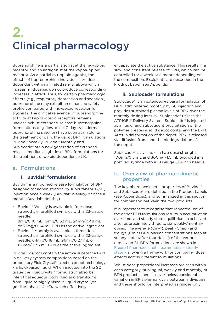## 2. Clinical pharmacology

Buprenorphine is a partial agonist at the mu-opioid receptor and an antagonist at the kappa-opioid receptor. As a partial mu-opioid agonist, the effects of buprenorphine individuals are dosedependent within a limited range, above which increasing dosages do not produce corresponding increases in effect. Thus, for certain pharmacologic effects (e.g., respiratory depression and sedation), buprenorphine may exhibit an enhanced safety profile compared with mu-opioid receptor full agonists. The clinical relevance of buprenorphine activity at kappa-opioid receptors remains unclear. Whilst extended-release buprenorphine formulations (e.g. 'low-dose' 7-day transdermal buprenorphine patches) have been available for the treatment of pain, the depot BPN formulations Buvidal® Weekly, Buvidal® Monthly and Sublocade® are a new generation of extended release 'medium-high dose' BPN formulations for the treatment of opioid dependence (9).

## a. Formulations

## **i. Buvidal® formulations**

Buvidal® is a modified release formulation of BPN designed for administration by subcutaneous (SC) injection once a week (Buvidal® Weekly) or once a month (Buvidal® Monthly).

- Buvidal® Weekly is available in four dose strengths in prefilled syringes with a 23-gauge needle: 8mg/0.16 mL, 16mg/0.32 mL, 24mg/0.48 mL
- or 32mg/0.64 mL BPN as the active ingredient. • Buvidal® Monthly is available in three dose strengths in prefilled syringes with a 23-gauge
- needle: 64mg/0.18 mL, 96mg/0.27 mL or 128mg/0.36 mL BPN as the active ingredient.

Buvidal® depots contain the active substance BPN in delivery system compositions based on the proprietary FluidCrystal® injection depot technology – a lipid-based liquid. When injected into the SC tissue the FluidCrystal® formulation absorbs interstitial aqueous body fluid and transforms from liquid to highly viscous liquid crystal (or gel-like) phases *in situ*, which effectively

encapsulate the active substance. This results in a slow and consistent release of BPN, which can be controlled for a week or a month depending on the composition. Excipients are described in the Product Label (see Appendix)

### **ii. Sublocade® formulations**

Sublocade® is an extended-release formulation of BPN, administered monthly by SC injection and provides sustained plasma levels of BPN over the monthly dosing interval. Sublocade® utilises the ATRIGEL® Delivery System. Sublocade® is injected as a liquid, and subsequent precipitation of the polymer creates a solid depot containing the BPN. After initial formation of the depot, BPN is released via diffusion from, and the biodegradation of, the depot.

Sublocade® is available in two dose strengths: 100mg/0.5 mL and 300mg/1.5 mL provided in a prefilled syringe with a 19 Gauge 5/8-inch needle.

## b. Overview of pharmacokinetic properties

The key pharmacokinetic properties of Buvidal® and Sublocade® are detailed in the Product Labels (see Appendices), and summarized in this section for comparison between the two products.

It is important to recognise that repeated use of the depot BPN formulations results in accumulation over time, and steady state equilibrium in achieved after approximately three to six weekly/monthly doses. The average (Cavg), peak (Cmax) and trough (Cmin) BPN plasma concentrations seen at steady state (after four doses) of the various depot and SL BPN formulations are shown in Figure 1 Pharmacokinetic parameters – steady state – allowing a framework for comparing dose effects across different formulations.

Whilst dose-proportional increases are seen within each category (sublingual, weekly and monthly) of BPN products, there is nevertheless considerable variation in BPN plasma levels between individuals, and these should be interpreted as guides only.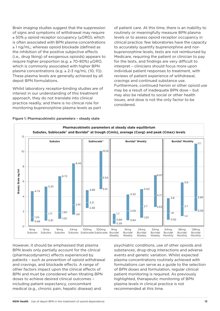Brain imaging studies suggest that the suppression of signs and symptoms of withdrawal may require  $\geq$  50% μ opioid receptor occupancy (μORO), which is often associated with BPN plasma concentrations ≥ 1 ng/mL; whereas opioid blockade (defined as the inhibition of the positive subjective effects (i.e., drug liking) of exogenous opioids) appears to require higher proportion (e.g.  $\geq$  70-80%)  $\mu$ ORO, which is commonly associated with higher BPN plasma concentrations (e.g.  $\geq$  2-3 ng/mL (10, 11)). These plasma levels are generally achieved by all depot BPN formulations.

Whilst laboratory receptor-binding studies are of interest in our understanding of this treatment approach, they do not translate into clinical practice readily, and there is no clinical role for monitoring buprenorphine plasma levels as part

of patient care. At this time, there is an inability to routinely or meaningfully measure BPN plasma levels or to assess opioid receptor occupancy in clinical practice: few laboratories have the capacity to accurately quantify buprenorphine and norbuprenorphine levels, tests are not reimbursed by Medicare, requiring the patient or clinician to pay for the tests, and findings are very difficult to interpret – clinicians should focus more upon individual patient responses to treatment, with reviews of patient experience of withdrawal, cravings and continued substance use. Furthermore, continued heroin or other opioid use may be a result of inadequate BPN dose – but may also be related to social or other health issues, and dose is not the only factor to be considered.





However, it should be emphasised that plasma BPN levels only partially account for the clinical (pharmacodynamic) effects experienced by patients – such as prevention of opioid withdrawal and cravings, and blockade effects. A range of other factors impact upon the clinical effects of BPN and must be considered when titrating BPN doses to achieve desired clinical outcomes – including patient expectancy, concomitant medical (e.g., chronic pain, hepatic disease) and

psychiatric conditions, use of other opioids and substances, drug-drug interactions and adverse events and genetic variation. Whilst expected plasma concentrations routinely achieved with formulations can serve as a guide to the selection of BPN doses and formulation, regular clinical patient monitoring is required. As previously highlighted, therapeutic monitoring of BPN plasma levels in clinical practice is not recommended at this time.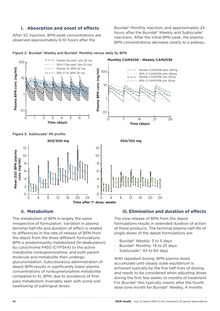#### **i. Absorption and onset of effects**

After SC injection, BPN peak concentrations are observed approximately 6-10 hours after the

Buvidal® Monthly injection, and approximately 24 hours after the Buvidal® Weekly and Sublocade® injections. After the initial BPN peak, the plasma BPN concentrations decrease slowly to a plateau.







#### **ii. Metabolism**

The metabolism of BPN is largely the same irrespective of formulation. Variation in plasma terminal half-life and duration of effect is related to differences in the rate of release of BPN from the depot from the three different formulations. BPN is predominantly metabolised (N-dealkylation) by cytochrome P450 (CYP3A4) to the active metabolite norbuprenorphine, and both parent molecule and metabolite then undergo glucuronidation. Subcutaneous administration of depot BPN results in significantly lower plasma concentrations of norbuprenorphine metabolite compared to SL BPN, due to avoidance of firstpass metabolism invariably seen with some oral swallowing of sublingual doses.

#### **iii. Elimination and duration of effects**

The slow release of BPN from the depot formulations results in extended duration of action of these products. The terminal plasma half-life of single doses of the depot formulations are:

- Buvidal<sup>®</sup> Weekly: 3 to 5 days
- Buvidal<sup>®</sup> Monthly: 19 to 25 days
- Sublocade®: 43 to 60 days

With repeated dosing, BPN plasma levels accumulate until steady state equilibrium is achieved typically by the five half-lives of dosing, and needs to be considered when adjusting doses during the first few weeks or months of treatment. For Buvidal® this typically means after the fourth dose (one month for Buvidal® Weekly, 4 months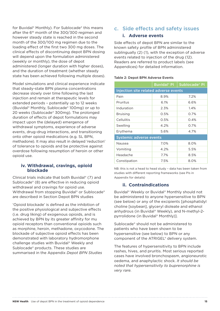for Buvidal® Monthly). For Sublocade® this means after the 6<sup>th</sup> month of the 300/300 regimen and however steady state is reached in the second month of the 300/100 mg regimen due to the loading effect of the first two 300 mg doses. The clinical effects of discontinuing depot BPN dosing will depend upon the formulation administered (weekly or monthly), the dose of depot administered (longer duration with higher doses), and the duration of treatment (whether steady state has been achieved following multiple doses).

Model simulations and clinical experience indicate that steady-state BPN plasma concentrations decrease slowly over time following the last injection and remain at therapeutic levels for extended periods – potentially up to 12 weeks (Buvidal® Monthly, Sublocade® 100mg) or up to 20 weeks (Sublocade® 300mg). The prolonged duration of effects of depot formulations may impact upon the (delayed) emergence of withdrawal symptoms, experience of adverse events, drug-drug interactions, and transitioning onto other opioid medications (e.g. SL BPN, methadone). It may also result in delayed 'reduction' of tolerance to opioids and be protective against overdose following resumption of heroin or other opioid use.

#### **iv. Withdrawal, cravings, opioid blockade**

Clinical trials indicate that both Buvidal® (7) and Sublocade® (8) are effective in reducing opioid withdrawal and cravings for opioid use. Withdrawal from stopping Buvidal® or Sublocade® are described in Section Depot BPN studies

'Opioid blockade' is defined as the inhibition of the positive physiological and subjective effects (i.e. drug liking) of exogenous opioids, and is achieved by BPN by its greater affinity for mu opioid receptors than conventional opioids such as morphine, heroin, methadone, oxycodone. The blockade of subjective opioid effects has been demonstrated with laboratory hydromorphone challenge studies with Buvidal® Weekly and Sublocade® products. These studies are summarised in the Appendix *Depot BPN Studies* 

## c. Side effects and safety issues

#### **i. Adverse events**

Side effects of depot BPN are similar to the known safety profile of BPN administered sublingually (2) (1), with the exception of adverse events related to injection of the drug (12). Readers are referred to product labels (see Appendices) for detailed information.

#### Table 2: Depot BPN Adverse Events

|                                       | <b>Buvidal® PI</b> | Sublocade <sup>®</sup> Pl |  |  |  |
|---------------------------------------|--------------------|---------------------------|--|--|--|
| Injection site related adverse events |                    |                           |  |  |  |
| Pain                                  | 8.9%               | 7.2%                      |  |  |  |
| Pruritus                              | 6.1%               | 6.6%                      |  |  |  |
| Induration                            | 2.3%               | 1.4%                      |  |  |  |
| Bruising                              | 0.5%               | 0.7%                      |  |  |  |
| Cellulitis                            | 0.5%               | 0.4%                      |  |  |  |
| Swelling                              | 4.2%               | 0.7%                      |  |  |  |
| Erythema                              | 5.6%               | 4.7%                      |  |  |  |
| <b>Systemic adverse events</b>        |                    |                           |  |  |  |
| Nausea                                | 7.0%               | 8.0%                      |  |  |  |
| Vomiting                              | 4.2%               | 5.5%                      |  |  |  |
| Headache                              | 7.7%               | 8.5%                      |  |  |  |
| Constipation                          | 7.5%               | 8.0%                      |  |  |  |

NB: this is not a head to head study – data has been taken from studies with different reporting frameworks (see PIs in Appendix for details)

#### **ii. Contraindications**

Buvidal® Weekly or Buvidal® Monthly should not be administered to anyone hypersensitive to BPN (see below) or any of the excipients [phosphatidyl choline [soybean], glyceryl dioleate and ethanol anhydrous (in Buvidal® Weekly), and N-methyl-2 pyrrolidone (in Buvidal® Monthly)].

Sublocade® should not be administered to patients who have been shown to be hypersensitive (see below) to BPN or any component of the ATRIGEL® delivery system.

The features of hypersensitivity to BPN include rashes, hives, and pruritis. Most serious reported cases have involved bronchospasm, angioneurotic oedema, and anaphylactic shock. *It should be noted that hypersensitivity to buprenorphine is very rare.*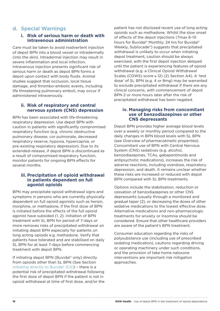## d. Special Warnings

#### **i. Risk of serious harm or death with intravenous administration**

Care must be taken to avoid inadvertent injection of depot BPN into a blood vessel or intradermally (into the skin). Intradermal injection may result in severe inflammation and local infection. Intravenous injection presents significant risk of serious harm or death as depot BPN forms a depot upon contact with body fluids. Animal studies suggest that occlusion, local tissue damage, and thrombo-embolic events, including life threatening pulmonary emboli, may occur if administered intravenously.

#### **ii. Risk of respiratory and central nervous system (CNS) depression**

BPN has been associated with life-threatening respiratory depression. Use depot BPN with caution in patients with significantly compromised respiratory function (e.g. chronic obstructive pulmonary disease, cor pulmonale, decreased respiratory reserve, hypoxia, hypercapnia, or pre-existing respiratory depression). Due to its extended-release, if depot BPN is discontinued as a result of compromised respiratory function, monitor patients for ongoing BPN effects for several months.

#### **iii. Precipitation of opioid withdrawal in patients dependent on full agonist opioids**

BPN may precipitate opioid withdrawal signs and symptoms in persons who are currently physically dependent on full opioid agonists such as heroin, morphine, or methadone, if the first dose of BPN is initiated before the effects of the full opioid agonist have subsided (1, 2). Initiation of BPN treatment with SL BPN for period of 7-days or more removes risks of precipitated withdrawal on initiating depot BPN especially for patients on long acting opioids e.g. methadone. Verify that patients have tolerated and are stabilised on daily SL BPN for at least 7-days before commencing treatment with depot BPN.

If initiating depot BPN (Buvidal® only) directly from opioids other than SL BPN (See Section Initiating directly to Buvidal<sup>®</sup> (CS)) - there is a potential risk of precipitated withdrawal following the first dose of depot BPN if the patient is not in opioid withdrawal at time of first dose, and/or the

patient has not disclosed recent use of long acting opioids such as methadone. Whilst the slow onset of effects of the depot injections (Tmax 6-10 hours for Buvidal® Monthly; 24 hrs for Buvidal® Weekly, Sublocade®) suggests that precipitated withdrawal is unlikely to occur when initiating depot treatment, caution should be always exercised, with the first depot injection delayed until the patient is experiencing features of opioid withdrawal (e.g. a Clinical Opioid Withdrawal Scales (COWS) score ≥ 12) (2) Section A4). A 'test dose' of SL BPN (e.g. 4 or 8mg) may be warranted to exclude precipitated withdrawal if there are any clinical concerns, with commencement of depot BPN 2 or more hours later after the risk of precipitated withdrawal has been negated.

#### **iv. Managing risks from concomitant use of benzodiazepines or other CNS depressants**

Depot BPN provides higher average blood levels over a weekly or monthly period compared to the daily changes in BPN blood levels with SL BPN (see *Overview of pharmacokinetic properties*). Concomitant use of BPN with Central Nervous System (CNS) sedatives (e.g. alcohol, benzodiazepines, TCAs, gabapentinoids and antipsychotic medications), increases the risk of adverse reactions, including overdose, respiratory depression, and death. It remains unclear whether these risks are increased or reduced with depot BPN compared with SL BPN treatments.

Options include the stabilisation, reduction or cessation of benzodiazepines or other CNS depressants (usually through a monitored and gradual taper (2), or decreasing the doses of other sedative medications to the lowest effective dose. Alternative medications and non-pharmacologic treatments for anxiety or insomnia should be considered. Ensure that other healthcare providers are aware of the patient's BPN treatment.

Consumer education regarding the risks of polysubstance use (including use of prescribed sedating medication), cautions regarding driving or operating machinery under such conditions, and the provision of take home naloxone interventions are important risk mitigation approaches.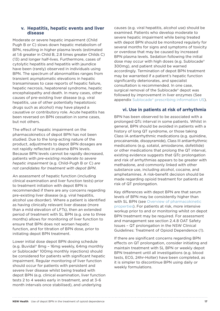#### **v. Hepatitis, hepatic events and liver disease**

Moderate or severe hepatic impairment (Child Pugh B or C) slows down hepatic metabolism of BPN, resulting in higher plasma levels (estimated at 1.6 greater in Child B, 2.8 times greater Childs C) (13) and longer half-lives. Furthermore, cases of cytolytic hepatitis and hepatitis with jaundice have been (rarely) observed in individuals using BPN. The spectrum of abnormalities ranges from transient asymptomatic elevations in hepatic transaminases to case reports of hepatic failure, hepatic necrosis, hepatorenal syndrome, hepatic encephalopathy and death. In many cases, other causes of pre-existing liver disease (e.g. viral hepatitis, use of other potentially hepatotoxic drugs such as alcohol) may have played a causative or contributory role. Acute hepatitis has been reversed on BPN cessation in some cases, but not others.

The effect of hepatic impairment on the pharmacokinetics of depot BPN has not been studied. Due to the long-acting nature of the product, adjustments to depot BPN dosages are not rapidly reflected in plasma BPN levels. Because BPN levels cannot be rapidly decreased, patients with *pre-existing moderate to severe hepatic impairment* (e.g. Child-Pugh B or C) *are not candidates for treatment with depot BPN*.

An assessment of hepatic function (including clinical examination and liver function tests) prior to treatment initiation with depot BPN is recommended if there are any concerns regarding pre-existing liver disease (e.g. viral hepatitis, alcohol use disorder). Where a patient is identified as having clinically relevant liver disease (more than a mild elevation of LFTs), then an extended period of treatment with SL BPN (e.g. one to three months) allows for monitoring of liver function to ensure that BPN does not worsen hepatic function, and for titration of BPN dose, prior to initiating depot BPN treatment.

Lower initial dose depot BPN dosing schedule (e.g. Buvidal® 8mg – 16mg weekly, 64mg monthly or Sublocade® 100mg monthly injections) should be considered for patients with significant hepatic impairment. Regular monitoring of liver function should occur for patients with persistent and severe liver disease whilst being treated with depot BPN (e.g. clinical examination, liver function tests 2 to 4 weeks early in treatment, and at 3-6 month intervals once stabilised), and underlying

causes (e.g. viral hepatitis, alcohol use) should be examined. Patients who develop moderate to severe hepatic impairment while being treated with depot BPN should be monitored regularly for several months for signs and symptoms of toxicity or overdose that may be caused by increased BPN plasma levels. Sedation following the initial dose may occur with high doses (e.g. Sublocade® 300mg), and patient should be warned accordingly. Termination of depot BPN treatment may be warranted if a patient's hepatic function significantly deteriorates, and specialist consultation is recommended. In one case, surgical removal of the Sublocade® depot was followed by improvement in liver enzymes (See appendix Sublocade® prescribing information US).

#### **vi. Use in patients at risk of arrhythmia**

BPN has been observed to be associated with a prolonged QTc interval in some patients. Whilst in general, BPN should be avoided in patients with a history of long QT syndrome, or those taking Class IA antiarrhythmic medications (e.g. quinidine, procainamide, disopyramide), Class III antiarrhythmic medications (e.g. sotalol, amiodarone, dofetilide) or other medications that prolong the QT interval, existing evidence suggests that QTc prolongation and risk of arrhythmias appears to be greater with methadone, and commonly linked with other substance use, including alcohol, cocaine, and amphetamines. A risk-benefit decision should be made regarding opioid treatment for patients at risk of QT prolongation.

Key differences with depot BPN are that serum levels of BPN may be consistently higher than with SL BPN (see Overview of pharmacokinetic properties). For patients at risk, more intensive workup prior to and or monitoring whilst on depot BPN treatment may be required. For assessment and management see section 2.4.8 OAT Safety Issues – QT prolongation in the NSW Clinical Guidelines: Treatment of Opioid Dependence (1).

If there are significant concerns regarding BPN effects on QT prolongation, consider initiating and maintain treatment with SL BPN or weekly depot BPN treatment until all investigations (e.g. blood tests, ECG, 24hr-Holter) have been completed, as it is simpler to discontinue BPN using daily or weekly formulations.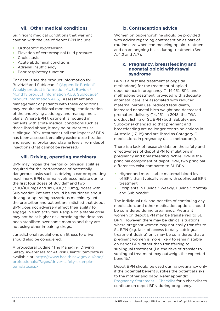#### **vii. Other medical conditions**

Significant medical conditions that warrant caution with the use of depot BPN include:

- Orthostatic hypotension
- Elevation of cerebrospinal fluid pressure
- Cholestasis
- Acute abdominal conditions
- Adrenal insufficiency
- Poor respiratory function

For details see the product information for Buvidal® and Sublocade® (Appendix Buvidal® Weekly product information AUS, Buvidal® Monthly product information AUS, Sublocade® product information AUS). Assessment and management of patients with these conditions may require additional monitoring, consideration of the underlying aetiology and management plans. Where BPN treatment is required in patients with acute medical conditions such as those listed above, it may be prudent to use sublingual BPN treatment until the impact of BPN has been assessed, enabling easier dose titration and avoiding prolonged plasma levels from depot injections (that cannot be reversed)

### **viii. Driving, operating machinery**

BPN may impair the mental or physical abilities required for the performance of potentially dangerous tasks such as driving a car or operating machinery. BPN plasma levels accumulate during the first four doses of Buvidal® and two (300/100mg) and six (300/300mg) doses with Sublocade®. Patients should be cautioned about driving or operating hazardous machinery until the prescriber and patient are satisfied that depot BPN does not adversely affect their ability to engage in such activities. People on a stable dose may not be at higher risk, providing the dose has been stabilised over some months and they are not using other impairing drugs.

Jurisdictional regulations on fitness to drive should also be considered.

A procedural outline "The Managing Driving Safety Awareness for At Risk Clients" template is available at: https://www.health.nsw.gov.au/aod/ professionals/Pages/driver-safety-exampletemplate.aspx

### **ix. Contraception advice**

Women on buprenorphine should be provided with advice regarding contraception as part of routine care when commencing opioid treatment and on an ongoing basis during treatment (Sec A.4.2 and A.7).

#### **x. Pregnancy, breastfeeding and neonatal opioid withdrawal syndrome**

BPN is a first line treatment (alongside methadone) for the treatment of opioid dependence in pregnancy (1, 14-16). BPN and methadone treatment, provided with adequate antenatal care, are associated with reduced maternal heroin use, reduced fetal death, increased neonatal birth weight and decreased premature delivery (14, 16). In 2018, the TGA product listing of SL BPN (both Subutex and Suboxone) changed so that pregnant and breastfeeding are no longer contraindications in Australia (17, 18) and are listed as Category C medications in pregnancy (as is methadone).

There is a lack of research data on the safety and effectiveness of depot BPN formulations in pregnancy and breastfeeding. While BPN is the principal component of depot BPN, two principal differences exist compared to SL BPN:

- Higher and more stable maternal blood levels of BPN than typically seen with sublingual BPN treatment
- Excipients in Buvidal® Weekly, Buvidal® Monthly and Sublocade®.

The individual risk and benefits of continuing any medication, and other medication options should be considered during pregnancy. Pregnant women on depot BPN may be transferred to SL BPN. However, there may be clinical situations where pregnant women may not easily transfer to SL BPN (e.g. lack of access to daily sublingual treatment dosing) or it may be considered that a pregnant women is more likely to remain stable on depot BPN rather than transferring to sublingual treatment (i.e. the risks of transfer to sublingual treatment may outweigh the expected benefits).

Depot BPN should be used during pregnancy only if the potential benefit justifies the potential risks to the mother and baby. Refer appendix Pregnancy Statement – Checklist for a checklist to continue on depot BPN during pregnancy.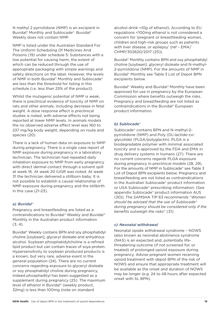N methyl 2 pyrrolidone (NMP) is an excipient in Buvidal® Monthly and Sublocade®. Buvidal® Weekly does not contain NMP.

NMP is listed under the Australian Standard For The Uniform Scheduling Of Medicines And Poisons (19) under schedule 5: Substances with a low potential for causing harm, the extent of which can be reduced through the use of appropriate packaging with simple warnings and safety directions on the label. However, the levels of NMP in both Buvidal® Monthly and Sublocade® are less than the threshold for listing in this schedule (i.e. less than 25% of the product).

Whilst the mutagenic potential of NMP is weak. there is preclinical evidence of toxicity of NMP on rats and other animals, including decrease in fetal weight. A dose response effect is preclinical studies is noted, with adverse effects not being reported at lower NMP levels. In animals models the no observed adverse effect level was 160 to 237 mg/kg body weight, depending on route and species (20).

There is a lack of human data on exposure to NMP during pregnancy. There is a single case report of NMP exposure during pregnancy in a laboratory technician. The technician had repeated daily inhalation exposure to NMP from early pregnancy with direct dermal contact through a solvent spill at week 16. At week 20 IUGR was noted. At week 31 the technician delivered a stillborn baby. It is not possible to establish a causal relationship of NMP exposure during pregnancy and the stillbirth in this case (21-23).

#### *a) Buvidal®*

Pregnancy and breastfeeding are listed as a contraindications to Buvidal*®* Weekly and Buvidal*®*  Monthly in the Australian product information (3, 4).

Buvidal® Weekly contains BPN and soy phosphatidyl choline [soybean], glyceryl dioleate and anhydrous alcohol. Soybean phosphatidylcholine is a refined lipid product but can contain traces of soya protein. Hypersensitivity to soybean produced products is a known, but very rare, adverse event in the general population (24). There are no current concerns regarding exposure to glyceryl dioleate or soy phosphatidyl choline during pregnancy, indeed phosphadityl has been suggested as a supplement during pregnancy (25). The maximum level of ethanol in Buvidal® (weekly product, 32mg) is less than 100mg (note on standard

alcohol drink =*10g* of ethanol). According to EU regulations <100mg ethanol is not considered a concern for 'pregnant or breastfeeding women, children and high-risk groups such as patients with liver disease, or epilepsy' (ref – EMA/ CHMP/302620/2017 (25)).

Buvidal® Monthly contains BPN and soy phosphatidyl choline [soybean], glyceryl dioleate and N-methyl-2-pyrrolidone (NMP). For the amounts of NMP in Buvidal® Monthly see Table 3 List of Depot BPN excipients below.

Buvidal® Weekly and Buvidal*®* Monthly have been approved for use in pregnancy by the European Commission where benefits outweigh the risks. Pregnancy and breastfeeding are not listed as contraindications in the Buvidal® European product information.

#### *b) Sublocade®*

Sublocade® contains BPN and N-methyl-2 pyrrolidone (NMP) and Poly (DL-lactide-coglycolide) (PLGA/polyglactin). PLGA is a biodegradable polymer with minimal associated toxicity and is approved by the FDA and EMA in drug delivery systems in humans (27). There are no current concerns regards PLGA exposure during pregnancy in preclinical models (28, 29). For the amounts of NMP in Sublocade® see Table 3 List of Depot BPN excipients below. Pregnancy and breastfeeding are not listed as contraindications in the Australian Sublocade® product information or USA Sublocade® prescribing information. (See appendix Sublocade® product information AUS (30)). The SAMSHA TIP 63 recommends "*Women should be advised that the use of Sublocade® during pregnancy should be considered only if the benefits outweigh the risks*" (31).

#### *c) Neonatal withdrawal*

Neonatal opiate withdrawal syndrome – NOWS (also known as neonatal abstinence syndrome (NAS) is an expected and, potentially lifethreatening outcome (if not screened for, or treated) of prolonged opioid exposure during pregnancy. Advise pregnant women receiving opioid treatment with depot BPN of the risk of NOWS and ensure that appropriate treatment will be available as the onset and duration of NOWS may be longer (e.g. 24 to 48 hours after expected onset with SL BPN).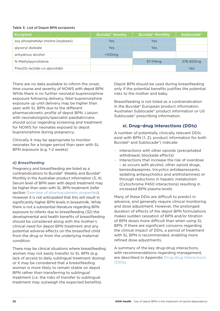#### Table 3: List of Depot BPN excipients

| <b>Excipient</b>                   | <b>Buvidal<sup>®</sup></b> Weekly | <b>Buvidal<sup>®</sup> Monthly</b> | <b>Sublocade®</b> |
|------------------------------------|-----------------------------------|------------------------------------|-------------------|
| soy phosphatidyl choline [soybean] | Yes                               | Yes                                |                   |
| glyceryl dioleate                  | Yes                               | Yes                                |                   |
| anhydrous alcohol                  | $100mq$                           |                                    |                   |
| N-Methylpyrrolidone                |                                   | 57-114 <sub>mg</sub>               | 278-833mg         |
| Poly(DL-lactide-co-glycolide)      |                                   |                                    | Yes               |

There are no data available to inform the onset, time course and severity of NOWS with depot BPN. While there is no further neonatal buprenorphine exposure following delivery, fetal buprenorphine exposure up until delivery may be higher than seen with SL BPN due to the different pharmacokinetic profile of depot BPN. Liaison with neonatologists/specialist paediatricians should occur regarding screening and treatment for NOWS for neonates exposed to depot buprenorphine during pregnancy.

Clinically it may be appropriate to monitor neonates for a longer period than seen with SL BPN exposure (e.g. 1-2 weeks).

#### *d) Breastfeeding*

Pregnancy and breastfeeding are listed as a contraindications to Buvidal® Weekly and Buvidal® Monthly in the Australian product information (3, 4). Serum level of BPN seen with depot treatment may be higher than seen with SL BPN treatment (refer section Overview of pharmacokinetic properties). However it is not anticipated that this will result in significantly higher BPN levels in breastmilk. While there is not a substantial literature regarding BPN exposure to infants due to breastfeeding (32) the developmental and health benefits of breastfeeding should be considered along with the mother's clinical need for depot BPN treatment and any potential adverse effects on the breastfed child from the drug or from the underlying maternal condition.

There may be clinical situations where breastfeeding women may not easily transfer to SL BPN (e.g. lack of access to daily sublingual treatment dosing) or it may be considered that a breastfeeding woman is more likely to remain stable on depot BPN rather than transferring to sublingual treatment (i.e. the risks of transfer to sublingual treatment may outweigh the expected benefits).

Depot BPN should be used during breastfeeding only if the potential benefits justifies the potential risks to the mother and baby.

Breastfeeding is not listed as a contraindication in the Buvidal® European product information, Australian Sublocade® product information or US Sublocade® prescribing information.

#### **xi. Drug–drug interactions (DDIs)**

A number of potentially clinically relevant DDIs exist with BPN (1, 2), product information for both Buvidal® and Sublocade®) indicate:

- Interactions with other opioids (precipitated withdrawal, blockade effects)
- Interactions that increase the risk of overdose – as occurs with alcohol, other opioid drugs, benzodiazepines, tricyclics antidepressants, sedating antipsychotics and antihistamines) or through reductions in hepatic metabolism (Cytochrome P450 interactions) resulting in increased BPN plasma levels

Many of these DDIs are difficult to predict in advance, and generally require clinical monitoring and dose adjustment. However, the prolonged duration of effects of the depot BPN formulations makes sudden cessation of BPN and/or titration of BPN doses more difficult than when using SL BPN. If there are significant concerns regarding the clinical impact of DDIs, a period of treatment with SL BPN is recommended, enabling more refined dose adjustments.

A summary of the key drug-drug interactions, with recommendations regarding management. are described in Appendix Drug drug Interactions (DDIs).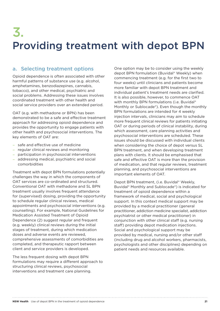## 3. Providing treatment with depot BPN

## a. Selecting treatment options

Opioid dependence is often associated with other harmful patterns of substance use (e.g. alcohol, amphetamines, benzodiazepines, cannabis, tobacco), and other medical, psychiatric and social problems. Addressing these issues involves coordinated treatment with other health and social service providers over an extended period.

OAT (e.g. with methadone or BPN) has been demonstrated to be a safe and effective treatment approach for addressing opioid dependence and provides the opportunity to engage patients with other health and psychosocial interventions. The key elements of OAT are:

- safe and effective use of medicine
- regular clinical reviews and monitoring
- participation in psychosocial interventions
- addressing medical, psychiatric and social comorbidities

Treatment with depot BPN formulations potentially challenges the way in which the components of OAT services are co-ordinated and structured. Conventional OAT with methadone and SL BPN treatment usually involves frequent attendance for (supervised) dosing, providing the opportunity to schedule regular clinical reviews, medical appointments and psychosocial interventions (e.g. counselling). For example, National Guidelines for Medication Assisted Treatment of Opioid Dependence (2) suggest regular and frequent (e.g. weekly) clinical reviews during the initial stages of treatment, during which medication doses and adverse events are reviewed, comprehensive assessments of comorbidities are completed, and therapeutic rapport between client and service providers is developed.

The less frequent dosing with depot BPN formulations may require a different approach to structuring clinical reviews, psychosocial interventions and treatment care planning.

One option may be to consider using the weekly depot BPN formulation (Buvidal® Weekly) when commencing treatment (e.g. for the first two to four weeks) until clinicians and patients become more familiar with depot BPN treatment and individual patient's treatment needs are clarified. It is also possible, however, to commence OAT with monthly BPN formulations (i.e. Buvidal® Monthly or Sublocade®). Even though the monthly BPN formulations are intended for 4 weekly injection intervals, clinicians may aim to schedule more frequent clinical reviews for patients initiating OAT or during periods of clinical instability, during which assessment, care planning activities and psychosocial interventions are scheduled. These issues should be discussed with individual clients when considering the choice of depot versus SL BPN treatment, and when developing treatment plans with clients. It should be emphasised that safe and effective OAT is more than the provision of medication, and that regular reviews, treatment planning, and psychosocial interventions are important elements of OAT.

Depot BPN treatment, (i.e. Buvidal® Weekly, Buvidal® Monthly and Sublocade®) is indicated for treatment of opioid dependence within a framework of medical, social and psychological support*.* In this context medical support may be provided by a medical practitioner (general practitioner, addiction medicine specialist, addiction psychiatrist or other medical practitioner) in conjunction with other clinical staff (e.g. nursing staff) providing depot medication injections. Social and psychological support may be provided by medical, nursing and/or other staff (including drug and alcohol workers, pharmacists, psychologists and other disciplines) depending on patient needs and resources available.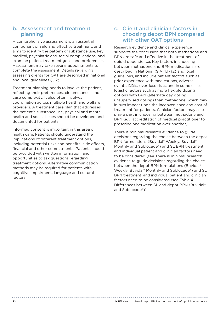## b. Assessment and treatment planning

A comprehensive assessment is an essential component of safe and effective treatment, and aims to identify the pattern of substance use, key medical, psychiatric and social complications, and examine patient treatment goals and preferences. Assessment may take several appointments to complete the assessment. Details regarding assessing clients for OAT are described in national and local guidelines (1, 2).

Treatment planning needs to involve the patient, reflecting their preferences, circumstances and case complexity. It also often involves coordination across multiple health and welfare providers. A treatment care plan that addresses the patient's substance use, physical and mental health and social issues should be developed and documented for patients.

Informed consent is important in this area of health care. Patients should understand the implications of different treatment options, including potential risks and benefits, side effects, financial and other commitments. Patients should be provided with written information, and opportunities to ask questions regarding treatment options. Alternative communication methods may be required for patients with cognitive impairment, language and cultural factors.

## c. Client and clinician factors in choosing depot BPN compared with other OAT options

Research evidence and clinical experience supports the conclusion that both methadone and BPN are safe and effective in the treatment of opioid dependence. Key factors in choosing between methadone and BPN medications are described in National (S A.4.1) (2) and local guidelines, and include patient factors such as prior experience with medications, adverse events, DDIs, overdose risks, and in some cases logistic factors such as more flexible dosing options with BPN (alternate day dosing, unsupervised dosing) than methadone, which may in turn impact upon the inconvenience and cost of treatment for patients. Clinician factors may also play a part in choosing between methadone and BPN (e.g. accreditation of medical practitioner to prescribe one medication over another).

There is minimal research evidence to guide decisions regarding the choice between the depot BPN formulations (Buvidal® Weekly, Buvidal® Monthly and Sublocade®) and SL BPN treatment, and individual patient and clinician factors need to be considered (see There is minimal research evidence to guide decisions regarding the choice between the depot BPN formulations (Buvidal® Weekly, Buvidal® Monthly and Sublocade®) and SL BPN treatment, and individual patient and clinician factors need to be considered (see Table 4 Differences between SL and depot BPN (Buvidal® and Sublocade®)).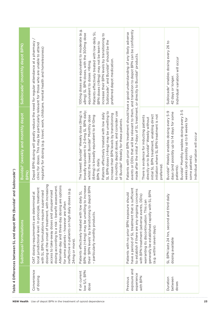|                                         | formulations<br>Sublingual                                                                                                                                                                                                                                                                                                                                                                                                                                                      | (weekly and monthly depot<br><b>Buvidal®</b><br>BPN)                                                                                                                                                                                                                                                                                                                                                                      | Sublocade® (monthly depot BPN)                                                                                                                                                                                                                                                                                                           |
|-----------------------------------------|---------------------------------------------------------------------------------------------------------------------------------------------------------------------------------------------------------------------------------------------------------------------------------------------------------------------------------------------------------------------------------------------------------------------------------------------------------------------------------|---------------------------------------------------------------------------------------------------------------------------------------------------------------------------------------------------------------------------------------------------------------------------------------------------------------------------------------------------------------------------------------------------------------------------|------------------------------------------------------------------------------------------------------------------------------------------------------------------------------------------------------------------------------------------------------------------------------------------------------------------------------------------|
| Convenience<br>of dosing                | dosing at the onset of treatment, with increasing<br>Alternate-day and three-day dosing are options<br>dosing according to a risk - benefit assessment.<br>nent<br>ineffective in patients on high daily doses (e.g.<br>access to take-away doses and unsupervised<br>with SL BPN formulations require supervised<br>đ<br>local jurisdictional level. In principle, treatr<br>OAT dosing requirements are determined<br>for some patients - however are often<br>24mg or more). | Depot BPN dosing will greatly reduce the need for regular attendance at a pharmacy<br>clinic for doses. This may be particularly relevant for those who are unable to attend<br>regularly for dosing (e.g. travel, work, childcare, mental health and homelessness)                                                                                                                                                       |                                                                                                                                                                                                                                                                                                                                          |
| BPN<br>If on current<br>low S/L<br>dose | BPN doses (<4mg) may be unwilling to increase<br>BPN<br>Patients effectively treated with low daily SL<br>their 'BPN levels' by transitioning to depot<br>- particularly monthly products.                                                                                                                                                                                                                                                                                      | broadly equivalent to 2-6mg SL BPN daily;<br>The lowest Buvidal® Weekly dose (8mg) is<br>SL BPN doses (<4mg) may be unwilling to<br>to monthly depot doses, and consider use<br>Patients effectively treated with low daily<br>increase their BPN levels by transitioning<br>whilst the lowest Buvidal® Monthly dose<br>(64mg) is broadly equivalent to 8-10mg<br>of Buvidal® Weekly for these patients.<br>BPN SL daily. | 100mg doses are equivalent to moderate (e.g.<br>Patients effectively treated with low daily SL<br>>8mg) SL BPN doses, with the 300mg dose<br>increase their BPN levels by transitioning to<br>Sublocade®, and Buvidal® should be the<br>BPN doses (<8mg) may not be keen to<br>preferred depot medication.<br>equivalent to doses >16mg. |
| exposure and<br>experience<br>Previous  | have a period of SL treatment that is sufficient<br>to establish if there are any ongoing concerns<br>Patients with no prior BPN exposure should                                                                                                                                                                                                                                                                                                                                | made after the initial 7-days of SL treatment, or directly to Buvidal® products.                                                                                                                                                                                                                                                                                                                                          | events or DDIs that will be relevant to them, and transition to depot BPN can be confidently<br>Patients with prior BPN treatment should have a good understanding of any likely adverse                                                                                                                                                 |
| with BPN                                | $\overline{a}$<br>with BPN treatment (adverse events, DDIs)<br>generally be established rapidly with SL B<br>warranting its discontinuation. This can<br>(e.g. within seven days)                                                                                                                                                                                                                                                                                               | initial SL BPN treatment, enabling direct<br>initiation where SL BPN treatment is not<br>There is evidence for inducting patients<br>directly on to Buvidal® Weekly without<br>preferred.                                                                                                                                                                                                                                 |                                                                                                                                                                                                                                                                                                                                          |
| between<br>Duration<br>doses            | BPN lasts 24 hrs, second and third daily<br>dosing available<br>5                                                                                                                                                                                                                                                                                                                                                                                                               | Buvidal® Monthly enables dosing every 3-5<br>Buvidal® Weekly enables dosing every 5-9<br>days (and possibly up to 14 days for some<br>weeks (and possibly up to 8 weeks for<br>Individual variation will occur<br>some patients)<br>patients)                                                                                                                                                                             | Sublocade® enables dosing every 26 to<br>Individual variation will occur<br>42 days or longer.                                                                                                                                                                                                                                           |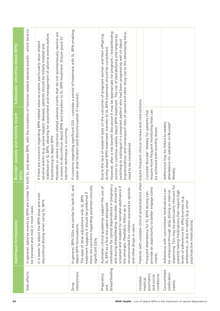| In general, adverse events to BPN are similar for both SL and depot BPN, with the exception of injection related adverse events - which tend to<br>However, after a risk benefit discussion it may be appropriate for pregnant / breastfeeding<br>buprenorphine, and consequent risks of opioid and other drug use to the developing fetus,<br>Moderate or severe injection related adverse events that do not spontaneously resolve are<br>stabilised on SL BPN, allowing for assessment and management of adverse events before<br>women to continue weekly depot BPN treatment. The risk of destabilizing and relapse by<br>Due to the lack of research data on the outcomes of pregnant women and their offspring<br>a reason to discontinue depot BPN and transition to SL BPN treatment. Ensure good SC<br>switching to sublingual in a pregnant patient who had been progressing well on depot<br>If there are concerns regarding BPN related adverse events, particularly dose related<br>adverse events (e.g. severe hepatic disease), patients should be initially treated and<br>during depot BPN treatment, transfer to SL BPN treatment should be considered.<br>easier dose titration (and discontinuation if required).<br>often require frequent clinical reviews and interventions.<br>require more frequent monitoring than can<br>Consider Buvidal® Weekly for patients that<br>attendance for patients on Buvidal®<br>Adherence may be linked to weekly<br>be achieved with monthly doses.<br>injection technique is occurring.<br>transitioning to depot BPN<br>need to be considered.<br>Weekly<br>methadone for opioid dependence in pregnancy<br>dispensing. This may be particularly relevant for<br>and<br>there are concerns regarding potential clinically<br>screened and treated for neonatal abstinence if<br>Australian clinical guidelines support the use of<br>$\frac{1}{2}$<br>provide an opportunity to better engage some<br>recommended for children exposed to opioids<br>Adherence with concomitant medications can<br>be enhanced through daily dosing or interval<br>patients taking medications that require high<br>Patients with unstable clinical presentations<br>Frequent attendance for SL BPN dosing can<br>It is easier to adjust the BPN dose and even<br>treatment suggests it should be preferred if<br>and during breastfeeding. Neonates should<br>In general, BPN DDIs are similar for both SL<br>The ease of dose adjustment with SL BPN<br>levels of adherence for effectiveness (e.g.<br>discontinue dosing when using SL BPN<br>antibiotics), or due to safety (e.g. other<br>SL BPN as a first line agent alongside<br>this emerges. Paediatric follow up is<br>be transient and mild in most cases.<br>psychoactive medications)<br>and other drugs in utero.<br>depot BPN formulations.<br>significant DDIs.<br>clients.<br>breastfeeding<br>Concomitant<br>Side effects<br>interactions<br>medication<br>psychiatric<br>Pregnancy<br>conditions<br>and social<br>Unstable<br>medical,<br><b>Xlddns</b><br>Drug<br>and<br><b>NSW Health</b> Use of depot BPN in the treatment of opioid dependence |  | Sublingual formulations | Sublocade® (monthly depot BPN)<br>Buvidal® (weekly and monthly depot<br><b>CNJB</b>         |
|---------------------------------------------------------------------------------------------------------------------------------------------------------------------------------------------------------------------------------------------------------------------------------------------------------------------------------------------------------------------------------------------------------------------------------------------------------------------------------------------------------------------------------------------------------------------------------------------------------------------------------------------------------------------------------------------------------------------------------------------------------------------------------------------------------------------------------------------------------------------------------------------------------------------------------------------------------------------------------------------------------------------------------------------------------------------------------------------------------------------------------------------------------------------------------------------------------------------------------------------------------------------------------------------------------------------------------------------------------------------------------------------------------------------------------------------------------------------------------------------------------------------------------------------------------------------------------------------------------------------------------------------------------------------------------------------------------------------------------------------------------------------------------------------------------------------------------------------------------------------------------------------------------------------------------------------------------------------------------------------------------------------------------------------------------------------------------------------------------------------------------------------------------------------------------------------------------------------------------------------------------------------------------------------------------------------------------------------------------------------------------------------------------------------------------------------------------------------------------------------------------------------------------------------------------------------------------------------------------------------------------------------------------------------------------------------------------------------------------------------------------------------------------------------------------------------------------------------------------------------------------------------------------------------------------------------------------------------------------------------------------------------------------------------------------------------------------------------------------------------------------------------------------------------|--|-------------------------|---------------------------------------------------------------------------------------------|
|                                                                                                                                                                                                                                                                                                                                                                                                                                                                                                                                                                                                                                                                                                                                                                                                                                                                                                                                                                                                                                                                                                                                                                                                                                                                                                                                                                                                                                                                                                                                                                                                                                                                                                                                                                                                                                                                                                                                                                                                                                                                                                                                                                                                                                                                                                                                                                                                                                                                                                                                                                                                                                                                                                                                                                                                                                                                                                                                                                                                                                                                                                                                                                     |  |                         |                                                                                             |
|                                                                                                                                                                                                                                                                                                                                                                                                                                                                                                                                                                                                                                                                                                                                                                                                                                                                                                                                                                                                                                                                                                                                                                                                                                                                                                                                                                                                                                                                                                                                                                                                                                                                                                                                                                                                                                                                                                                                                                                                                                                                                                                                                                                                                                                                                                                                                                                                                                                                                                                                                                                                                                                                                                                                                                                                                                                                                                                                                                                                                                                                                                                                                                     |  |                         |                                                                                             |
|                                                                                                                                                                                                                                                                                                                                                                                                                                                                                                                                                                                                                                                                                                                                                                                                                                                                                                                                                                                                                                                                                                                                                                                                                                                                                                                                                                                                                                                                                                                                                                                                                                                                                                                                                                                                                                                                                                                                                                                                                                                                                                                                                                                                                                                                                                                                                                                                                                                                                                                                                                                                                                                                                                                                                                                                                                                                                                                                                                                                                                                                                                                                                                     |  |                         | If concerns regarding significant DDI - consider a period of treatment with SL BPN enabling |
|                                                                                                                                                                                                                                                                                                                                                                                                                                                                                                                                                                                                                                                                                                                                                                                                                                                                                                                                                                                                                                                                                                                                                                                                                                                                                                                                                                                                                                                                                                                                                                                                                                                                                                                                                                                                                                                                                                                                                                                                                                                                                                                                                                                                                                                                                                                                                                                                                                                                                                                                                                                                                                                                                                                                                                                                                                                                                                                                                                                                                                                                                                                                                                     |  |                         |                                                                                             |
|                                                                                                                                                                                                                                                                                                                                                                                                                                                                                                                                                                                                                                                                                                                                                                                                                                                                                                                                                                                                                                                                                                                                                                                                                                                                                                                                                                                                                                                                                                                                                                                                                                                                                                                                                                                                                                                                                                                                                                                                                                                                                                                                                                                                                                                                                                                                                                                                                                                                                                                                                                                                                                                                                                                                                                                                                                                                                                                                                                                                                                                                                                                                                                     |  |                         |                                                                                             |
|                                                                                                                                                                                                                                                                                                                                                                                                                                                                                                                                                                                                                                                                                                                                                                                                                                                                                                                                                                                                                                                                                                                                                                                                                                                                                                                                                                                                                                                                                                                                                                                                                                                                                                                                                                                                                                                                                                                                                                                                                                                                                                                                                                                                                                                                                                                                                                                                                                                                                                                                                                                                                                                                                                                                                                                                                                                                                                                                                                                                                                                                                                                                                                     |  |                         |                                                                                             |
|                                                                                                                                                                                                                                                                                                                                                                                                                                                                                                                                                                                                                                                                                                                                                                                                                                                                                                                                                                                                                                                                                                                                                                                                                                                                                                                                                                                                                                                                                                                                                                                                                                                                                                                                                                                                                                                                                                                                                                                                                                                                                                                                                                                                                                                                                                                                                                                                                                                                                                                                                                                                                                                                                                                                                                                                                                                                                                                                                                                                                                                                                                                                                                     |  |                         |                                                                                             |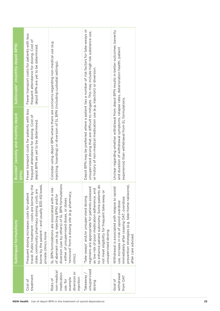| Sublingual formulations                    | private clinics more<br>treatment                                                                                                                                                                           | clinic)<br>non-medical<br>diversion or<br>medication                                                                                                                                                                                             | unsupervised dosing.<br>unsupervised<br>Takeaway                                                                                                                                                                                                               | after care advised.<br>withdrawal<br>from OAT                                                                                                                                                          |  |
|--------------------------------------------|-------------------------------------------------------------------------------------------------------------------------------------------------------------------------------------------------------------|--------------------------------------------------------------------------------------------------------------------------------------------------------------------------------------------------------------------------------------------------|----------------------------------------------------------------------------------------------------------------------------------------------------------------------------------------------------------------------------------------------------------------|--------------------------------------------------------------------------------------------------------------------------------------------------------------------------------------------------------|--|
|                                            | /week,<br>travel. Public treatment - costs are borne by the<br>are<br>Frequent dosing increases costs for patient<br>borne by the patient - and usually \$35-45/<br>state, community pharmacy dosing, costs | diversion (use by others) of SL BPN formulations<br>risk<br>'removed' from a dosing site (e.g. pharmacy,<br>of aberrant use (e.g. injecting BPN) and/or<br>SL BPN formulations are associated with a<br>- either of unsupervised doses, or doses | to enhance patient autonomy. Some patients do<br>regimens are appropriate for patients assessed<br>and<br>$\overline{O}$<br>not meet eligibility for frequent take-away<br>as low risk of poor medication adherence,<br>Take-aways' and/or unsupervised dosing | prevention strategies (e.g. take-home naloxone)<br>pioid<br>$\circ$<br>immediately after ceasing OAT, overdose<br>Withdrawal is associated with relapse to<br>use, increase in risk of opioid overdose |  |
| Buvidal® (weekly and monthly depot<br>BPN) | Fewer transport costs for patients with less<br>frequent attendance for dosing. Cost of<br>depot BPN are yet to be determined                                                                               | Consider using depot BPN where there are concerns regarding non-medical use (e.g<br>injecting, hoarding) or diversion of SL BPN (including custodial settings)                                                                                   | or history of non-medical medication use (e.g. injection) or diversion.                                                                                                                                                                                        | and duration of withdrawal symptoms, relapse rates, deterioration health, patient<br>experience) than withdrawal from SL formulations.                                                                 |  |
| Sublocade® (monthly depot BPN)             | Fewer transport costs for patients with less<br>frequent attendance for dosing. Cost of<br>depot BPN are yet to be determined                                                                               |                                                                                                                                                                                                                                                  | Depot BPN may be preferred where a patient has a number of risk factors for take-aways or<br>unsupervised dosing that are difficult to mitigate. This may include high risk substance use,                                                                     | Unclear regarding whether withdrawal from depot BPN results in better outcomes (severity                                                                                                               |  |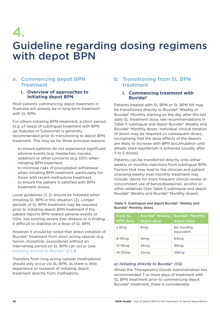## 4.

## Guideline regarding dosing regimens with depot BPN

## a. Commencing depot BPN **Treatment**

#### **i. Overview of approaches to initiating depot BPN**

Most patients commencing depot treatment in Australia will already be in long-term treatment with SL BPN.

For others initiating BPN treatment, a short period (e.g. ≥7-days) of sublingual treatment with BPN (as Subutex or Suboxone) is generally recommended prior to transitioning to depot BPN treatment. This may be for three principal reasons:

- to ensure patients do not experience significant adverse events (e.g. headaches, nausea, sedation) or other concerns (e.g. DDI) when initiating BPN treatment
- to minimise risks of precipitated withdrawal when initiating BPN treatment, particularly for those with recent methadone treatment.
- to ensure the patient is satisfied with BPN treatment choice.

Local guidelines (1, 2) should be followed when initiating SL BPN in this situation (2). Longer periods of SL BPN treatment may be required prior to initiating depot BPN treatment if the patient reports BPN related adverse events or DDIs, has existing severe liver disease or is finding it difficult to stabilise on a dose of SL BPN.

However it should be noted that direct initiation of Buvidal® treatment from short acting opioids (e.g. heroin, morphine, oxycodone) without an intervening period on SL BPN can occur (see Initiating directly to Buvidal® (CS)).

Transfers from long acting opioids (methadone) should only occur via SL BPN, as there is little experience or research of initiating depot treatment directly from methadone.

## b. Transitioning from SL BPN treatment

#### **i. Commencing treatment with Buvidal®**

Patients treated with SL BPN or SL BPN NX may be transitioned directly to Buvidal® Weekly or Buvidal® Monthly starting on the day after the last daily SL treatment dose, see recommendations in Table 5 sublingual and depot Buvidal® Weekly and Buvidal® Monthly doses. Individual clinical titration of doses may be required on subsequent doses, recognising that the dose effects of the depots are likely to increase with BPN accumulation until steady state equilibrium is achieved (usually after 3 to 5 doses).

Patients can be transferred directly onto either weekly or monthly injections from sublingual BPN. Factors that may lead to the clinician and patient choosing weekly over monthly treatment may include: desire for more frequent clinical review or concomitant use of benzodiazepines, alcohol or other sedatives (See Table 5 sublingual and depot Buvidal® Weekly and Buvidal® Monthly doses).

| Daily SL<br><b>BPN</b> dose | <b>Buvidal<sup>®</sup> Weekly</b><br>depot dose | <b>Buvidal<sup>®</sup> Monthly</b><br>depot dose |
|-----------------------------|-------------------------------------------------|--------------------------------------------------|
| $\leq 6$ mg                 | 8 <sub>mg</sub>                                 | No monthly<br>equivalent                         |
| 8-10 <sub>mg</sub>          | 16mg                                            | 64 <sub>mg</sub>                                 |
| $12-16$ mg                  | 24 <sub>mg</sub>                                | 96 <sub>mg</sub>                                 |
| 18-32mg                     | 32 <sub>mg</sub>                                | 128 <sub>mg</sub>                                |

#### Table 5: Sublingual and depot Buvidal® Weekly and Buvidal® Monthly doses

#### *a) Initiating directly to Buvidal® (CS)*

Whilst the Therapeutics Goods Administration has recommended 7 or more days of treatment with SL BPN treatment prior to commencing depot Buvidal® treatment, there is considerable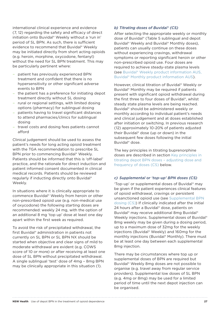international clinical experience and evidence (7, 12) regarding the safety and efficacy of direct initiation onto Buvidal® Weekly without a 'run in' period of SL BPN. As such, there is sufficient evidence to recommend that Buvidal® Weekly may be initiated directly from short acting opioids (e.g. heroin, morphine, oxycodone, fentanyl) without the need for SL BPN treatment. This may be particularly pertinent where:

- patient has previously experienced BPN treatment and confident that there is no hypersensitivity or other significant adverse events to BPN
- the patient has a preference for initiating depot treatment directly without SL dosing
- rural or regional settings, with limited dosing options (pharmacy) for sublingual dosing
- patients having to travel significant distances to attend pharmacies/clinics for sublingual dosing
- travel costs and dosing fees patients cannot afford

Clinical judgement should be used to assess the patient's needs for long acting opioid treatment with the TGA recommendation to prescribe SL BPN prior to commencing Buvidal® Weekly. Patients should be informed that this is 'off-label' practice, and the rationale for direct induction and patient informed consent documented in clinical medical records. Patients should be reviewed regularly if inducting directly onto Buvidal® Weekly.

In situations where it is clinically appropriate to commence Buvidal® Weekly from heroin or other non-prescribed opioid use (e.g. non-medical use of oxycodone) the following starting doses are recommended: weekly 24 mg, with the option of an additional 8 mg 'top up' dose at least one day apart within the first week as required.

To avoid the risk of precipitated withdrawal, the first Buvidal® administration in patients not currently on SL BPN or SL BPN NX should be started when objective and clear signs of mild to moderate withdrawal are evident (e.g. COWS score of 10 or more) or after receiving at least one dose of SL BPN without precipitated withdrawal. A single sublingual 'test' dose of 4mg – 8mg BPN may be clinically appropriate in this situation (1).

#### *b) Titrating doses of Buvidal® (CS)*

After selecting the appropriate weekly or monthly dose of Buvidal® (Table 5 sublingual and depot Buvidal® Weekly and Buvidal® Monthly doses), patients can usually continue on these doses without experiencing cravings, withdrawal symptoms or reporting significant heroin or other non-prescribed opioid use. Four doses are required to achieve steady-state plasma levels (see Buvidal® Weekly product information AUS, Buvidal® Monthly product information AUS).

However, clinical titration of Buvidal® Weekly or Buvidal® Monthly may be required if patients present with significant opioid withdrawal during the first three to four doses of Buvidal®, whilst steady state plasma levels are being reached. Buvidal® should be administered weekly or monthly according to individual patient's needs and clinical judgement and at doses established after initiation or switching. In previous research (12) approximately 10-20% of patients adjusted their Buvidal® dose (up or down) in the subsequent few doses following the initial Buvidal® dose.

The key principles in titrating buprenorphine doses are described in section Key principles in titrating depot BPN doses – adjusting dose and frequency of doses (CS) below.

#### *c) Supplemental or 'top-up' BPN doses (CS)*

'Top-up' or supplemental doses of Buvidal® may be given if the patient experiences clinical features of opioid withdrawal, cravings or persistent unsanctioned opioid use (see Supplemental BPN dosing (CS)) If clinically indicated after the initial 24 hours after a Buvidal<sup>®</sup> dose, patients on Buvidal® may receive additional 8mg Buvidal® Weekly injections. Supplemental doses of Buvidal® 8mg weekly may be given during a dosing period, up to a maximum dose of 32mg for the weekly injections (Buvidal® Weekly) and 160mg for the monthly injections (Buvidal® Monthly). There must be at least one day between each supplemental 8mg injection.

There may be circumstances where top up or supplemental doses of BPN are required but Buvidal® Weekly 8mg doses are not possible to organise (e.g. travel away from regular service providers). Supplemental low doses of SL BPN (e.g. 4mg or 8mg) may be used for a limited period of time until the next depot injection can be organised.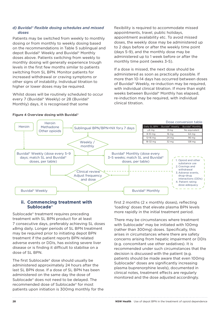#### *d) Buvidal® flexible dosing schedules and missed doses*

Patients may be switched from weekly to monthly dosing or from monthly to weekly dosing based on the recommendations in Table 5 sublingual and depot Buvidal® Weekly and Buvidal® Monthly doses above. Patients switching from weekly to monthly dosing will generally experience trough levels in the first few months similar to patients switching from SL BPN. Monitor patients for increased withdrawal or craving symptoms or other signs of instability. Individual titration to higher or lower doses may be required.

Whilst doses will be routinely scheduled to occur every 7 (Buvidal® Weekly) or 28 (Buvidal® Monthly) days, it is recognised that some

flexibility is required to accommodate missed appointments, travel, public holidays, appointment availability etc. To avoid missed doses, the weekly dose may be administered up to 2 days before or after the weekly time point (days 5-9), and the monthly dose may be administered up to 1 week before or after the monthly time point (weeks 3-5).

If a dose is missed, the next dose should be administered as soon as practically possible. If more than 10-14 days has occurred between doses of Buvidal® Weekly, re-induction may be required, with individual clinical titration. If more than eight weeks between Buvidal® Monthly has elapsed, re-induction may be required, with individual clinical titration.



#### Figure 4 Overview dosing with Buvidal®

#### **ii. Commencing treatment with Sublocade®**

Sublocade® treatment requires preceding treatment with SL BPN product for at least 7 consecutive days, preferably achieving SL doses ≥8mg daily. Longer periods of SL BPN treatment may be required prior to initiating depot BPN treatment if the patient reports BPN related adverse events or DDIs, has existing severe liver disease or is finding it difficult to stabilise on a dose of SL BPN.

The first Sublocade® dose should usually be administered approximately 24 hours after the last SL BPN dose. If a dose of SL BPN has been administered on the same day the dose of Sublocade® does not need to be delayed. The recommended dose of Sublocade® for most patients upon initiation is 300mg monthly for the first 2 months (2 x monthly doses), reflecting 'loading' doses that elevate plasma BPN levels more rapidly in the initial treatment period.

There may be circumstances where treatment with Sublocade® may be initiated with 100mg (rather than 300mg) doses. Specifically, this arises in circumstances where there are safety concerns arising from hepatic impairment or DDIs (e.g. concomitant use other sedatives). It is recommended under such circumstances that the decision is discussed with the patient (e.g. patients should be made aware that even 100mg Sublocade® doses are significantly increasing plasma buprenorphine levels), documented in clinical notes, treatment effects are regularly monitored and the dose adjusted accordingly.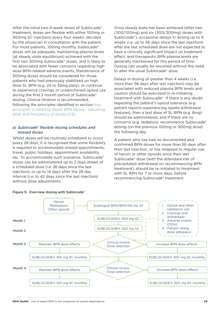After the initial two 4-week doses of Sublocade® treatment, doses are flexible with either 100mg or 300mg SC injections every four weeks, decided by the physician in consultation with the patient. For most patients, 100mg monthly Sublocade® doses will be adequate, maintaining plasma levels (at steady state equilibrium) achieved with the first two 300mg Sublocade® doses, and is likely to be associated with fewer concerns regarding high dose BPN-related adverse events. Maintenance of 300mg doses should be considered for those patients who had previously stabilised on high dose SL BPN (e.g. 24 to 32mg daily), or continue to experience cravings or unsanctioned opioid use during the first 2 month period of Sublocade® dosing. Clinical titration is recommended, following the principles identified in section Key principles in titrating depot BPN doses – adjusting dose and frequency of doses (CS).

#### *a) Sublocade® flexible dosing schedules and missed doses*

Whilst doses will be routinely scheduled to occur every 28 days, it is recognised that some flexibility is required to accommodate missed appointments, travel, public holidays, appointment availability etc. To accommodate such scenarios, Sublocade® doses can be administered up to 2 days ahead of a scheduled dose (i.e. 26 days since the last injection), or up to 14 days after the 28 day interval (i.e. to 42 days since the last injection) without dose adjustments.

Once steady state has been achieved (after two (300/100mg) and six (300/300mg) doses with Sublocade®), occasional delays in dosing up to 4 weeks (i.e. up to 56 days since the last injection) after the last scheduled dose are not expected to have a clinically significant impact on treatment effect, and therapeutic BPN plasma levels are generally maintained for this period of time. Dosing can usually be resumed without the need to alter the usual Sublocade® dose.

Delays in dosing of greater than 4 weeks (i.e. more than 56 days after last injection) may be associated with reduced plasma BPN levels and caution should be exercised in re-initiating treatment with Sublocade®. If there is any doubt regarding the patient's opioid tolerance (e.g. patient reports experiencing opiate withdrawal features), then a test dose of SL BPN (e.g. 8mg) should be administered, and if there are no concerns (e.g. sedation), recommence Sublocade® dosing (on the previous 100mg or 300mg dose) the following day.

A patient who has had no documented and confirmed BPN doses for more than 56 days after their last injection, or has relapsed to regular use of heroin or other opioids since their last Sublocade® dose (with the attendant risk of precipitated withdrawal on recommencing BPN treatment), should be re-initiated to treatment with SL BPN for 7 or more days, before recommencing Sublocade® treatment.



#### Figure 5: Overview dosing with Sublocade®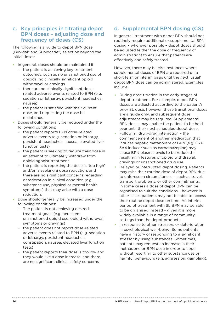## c. Key principles in titrating depot BPN doses – adjusting dose and frequency of doses (CS)

The following is a guide to depot BPN dose (Buvidal® and Sublocade®) selection beyond the initial doses:

- In general, doses should be maintained if:
	- the patient is achieving key treatment outcomes, such as no unsanctioned use of opioids, no clinically significant opioid withdrawal or cravings
	- there are no clinically significant doserelated adverse events related to BPN (e.g. sedation or lethargy, persistent headaches, nausea)
	- the patient is satisfied with their current dose, and requesting the dose be maintained
- Doses should generally be reduced under the following conditions:
	- the patient reports BPN dose-related adverse events (e.g. sedation or lethargy, persistent headaches, nausea, elevated liver function tests)
	- the patient is seeking to reduce their dose in an attempt to ultimately withdraw from opioid agonist treatment
	- the patient is reporting the dose is 'too high' and/or is seeking a dose reduction, and there are no significant concerns regarding deterioration in clinical condition (e.g. substance use, physical or mental health symptoms) that may arise with a dose reduction.
- Dose should generally be increased under the following conditions:
	- The patient is not achieving desired treatment goals (e.g. persistent unsanctioned opioid use, opioid withdrawal symptoms or cravings)
	- the patient does not report dose-related adverse events related to BPN (e.g. sedation or lethargy, persistent headaches, constipation, nausea, elevated liver function tests)
	- the patient reports their dose is too low and they would like a dose increase, and there are no significant clinical safety concerns

## d. Supplemental BPN dosing (CS)

In general, treatment with depot BPN should not routinely require additional or supplemental BPN dosing – wherever possible – depot doses should be adjusted (either the dose or frequency of administration) to ensure that patients are effectively and safely treated.

However, there may be circumstances where supplemental doses of BPN are required on a short term or interim basis until the next 'usual' depot BPN dose can be administered. Examples include:

- During dose titration in the early stages of depot treatment. For example, depot BPN doses are adjusted according to the patient's prior SL dose, however, these transitional doses are a guide only, and subsequent dose adjustment may be required. Supplemental BPN doses may enable the patient to be held over until their next scheduled depot dose.
- Following drug-drug interaction the commencement of another medication that induces hepatic metabolism of BPN (e.g. CYP 3A4 inducer such as carbamazepine) may cause BPN plasma levels to be reduced – resulting in features of opioid withdrawal, cravings or unsanctioned drug use.
- Delayed or interrupted depot dosing. Patients may miss their routine dose of depot BPN due to unforeseen circumstances – such as travel, transport problems, or other commitments. In some cases a dose of depot BPN can be organised to suit the conditions – however in other cases patients may not be able to access their routine depot dose on time. An interim period of treatment with SL BPN may be able to be organised instead – given it is more widely available in a range of community settings than the depot products.
- In response to other stressors or deterioration in psychological well-being. Some patients have a history of responding to a significant stressor by using substances. Sometimes, patients may request an increase in their methadone or BPN dose in order to cope without resorting to other substance use or harmful behaviours (e.g. aggression, gambling).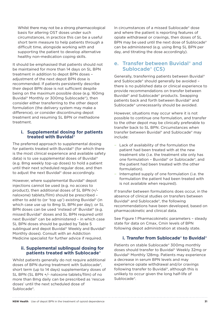Whilst there may not be a strong pharmacological basis for altering OST doses under such circumstances, in practice this can be a useful short term measure to help patients through a difficult time, alongside working with and supporting the patient to develop alternative healthy non-medication coping skills.

It should be emphasised that patients should not be maintained for more than 14 days on SL BPN treatment in addition to depot BPN doses – adjustment of the next depot BPN dose is recommended. If patients persistently describe their depot BPN dose is not sufficient despite being on the maximum possible dose (e.g. 160mg Buvidal® Monthly or 300mg Sublocade®), then consider either transferring to the other depot formulation (the delivery system may make a difference), or consider discontinuing depot treatment and resuming SL BPN or methadone treatment.

#### **i. Supplemental dosing for patients treated with Buvidal®**

The preferred approach to supplemental dosing for patients treated with Buvidal® (for which there is the most clinical experience and available safety data) is to use supplemental doses of Buvidal® (e.g. 8mg weekly top-up doses) to hold a patient until their next scheduled regular dose, and then to adjust the next Buvidal® dose accordingly.

However, where supplemental Buvidal® depot injections cannot be used (e.g. no access to product), then additional doses of SL BPN (+/ naloxone) tablets/film) should be prescribed – either to add to (or 'top up') existing Buvidal® (in which case use up to 8mg SL BPN per day); or SL BPN doses can be used 'instead of' Buvidal® (e.g. missed Buvidal® doses and SL BPN required until next Buvidal® can be administered – in which case SL BPN doses should be guided by Table 5 sublingual and depot Buvidal® Weekly and Buvidal® Monthly doses). Consult with an Addiction Medicine specialist for further advice if required.

#### **ii. Supplemental sublingual dosing for patients treated with Sublocade®**

Whilst patients generally do not require additional doses of BPN during treatment with Sublocade®, short term (up to 14 days) supplementary doses of SL BPN (SL BPN +/- naloxone tablets/film) of no more than 8mg daily can be prescribed as 'rescue doses' until the next scheduled dose of Sublocade®.

In circumstances of a missed Sublocade® dose and where the patient is reporting features of opiate withdrawal or cravings, then doses of SL BPN may be used until the next dose of Sublocade® can be administered (e.g. using 8mg SL BPN per day, and titrating the dose accordingly).

## e. Transfer between Buvidal® and Sublocade® (CS)

Generally, transferring patients between Buvidal® and Sublocade® should generally be avoided – there is no published data or clinical experience to provide recommendations on transfer between Buvidal® and Sublocade® products. Swapping patients back and forth between Buvidal® and Sublocade® unnecessarily should be avoided.

However, situations may occur where it is not possible to continue one formulation, and transfer to the other depot may be clinically preferable to transfer back to SL BPN. Circumstances when transfer between Buvidal® and Sublocade® may include:

- Lack of availability of the formulation the patient had been treated with at the new treatment site (i.e. the treatment site only has one formulation – Buvidal® or Sublocade®, and the patient had been treated with the other formulation).
- Interrupted supply of one formulation (i.e. the formulation the patient had been treated with is not available when required).

If transfer between formulations does occur, in the absence of clinical studies on transfers between Buvidal® and Sublocade®, the following recommendations have been developed, based on pharmacokinetic and clinical data.

See Figure 1 Pharmacokinetic parameters – steady state for data on Cmax, Cmin levels of BPN following depot administration at steady state.

### **i. Transfer from Sublocade® to Buvidal®**

Patients on stable Sublocade® 300mg monthly doses should transfer to Buvidal® Weekly 32mg or Buvidal® Monthly 128mg. Patients may experience a decrease in serum BPN levels and may experience opiate withdrawal and/or cravings following transfer to Buvidal®, although this is unlikely to occur given the long half-life of Sublocade®.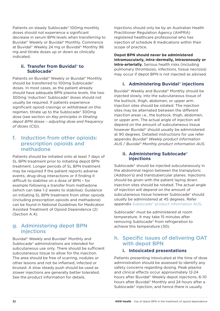Patients on steady Sublocade® 100mg monthly doses should not experience a significant decrease in serum BPN levels when transferring to Buvidal® Weekly or Buvidal® Monthly. Commence at Buvidal® Weekly 24 mg or Buvidal® Monthly 96 mg and titrate doses up or down as clinically indicated.

#### **ii. Transfer from Buvidal® to Sublocade®**

Patients on Buvidal® Weekly or Buvidal® Monthly should be transferred to 100mg Sublocade® doses. In most cases, as the patient already should have adequate BPN plasma levels, the two 300mg 'induction' Sublocade® doses should not usually be required. If patients experience significant opioid cravings or withdrawal on this regimen, titrate up to the Sublocade® 300mg dose (see section on *Key principles in titrating depot BPN doses – adjusting dose and frequency of doses (CS)*).

## f. Induction from other opioids: prescription opioids and methadone

Patients should be initiated onto at least 7 days of SL BPN treatment prior to initiating depot BPN treatment. Longer periods of SL BPN treatment may be required if the patient reports adverse events, drug-drug interactions or if finding it difficult to stabilise on a dose of BPN – for example following a transfer from methadone (which can take 1-2 weeks to stabilise). Guidance on initiating SL BPN treatment from other opioids (including prescription opioids and methadone) can be found in National Guidelines for Medication Assisted Treatment of Opioid Dependence (2) (Section A.4).

## g. Administering depot BPN injections

Buvidal® Weekly and Buvidal® Monthly and Sublocade® administrations are intended for subcutaneous use only. There should be sufficient subcutaneous tissue to allow for the injection. The area should be free of scarring, nodules or other lesions and not be inflamed, infected or bruised. A slow steady push should be used as slower injections are generally better tolerated. See the product information for details.

Injections should only be by an Australian Health Practitioner Regulation Agency (AHPRA) registered healthcare professional who has injection of schedule 8 medications within their scope of practice.

**Depot BPN should never be administered intramuscularly, intra-dermally, intravenously or intra-arterially.** Serious health risks (including pulmonary thrombosis, infections, tissue necrosis) may occur if depot BPN is not injected as advised.

## **i. Administering Buvidal® injections**

Buvidal® Weekly and Buvidal® Monthly should be injected slowly, into the subcutaneous tissue of the buttock, thigh, abdomen, or upper arm. Injection sites should be rotated. The injection sites may be alternated between the different injection areas i.e., the buttock, thigh, abdomen, or upper arm. The actual angle of injection will depend on the amount of subcutaneous tissue however Buvidal® should usually be administered at 90 degrees. Detailed instructions for use refer appendix *Buvidal® Weekly product information AUS* / *Buvidal® Monthly product information AUS.*

#### **ii. Administering Sublocade® injections**

Sublocade® should be injected subcutaneously in the abdominal region between the transpyloric (Addison's) and transtubercular planes. Injections should be given with the patient laying down. Injection sites should be rotated. The actual angle of injection will depend on the amount of subcutaneous tissue however Sublocade® should usually be administered at 45 degrees. Refer appendix Sublocade® product information AUS.

Sublocade® must be administered at room temperature. It may take 15 minutes after removing Sublocade® from refrigeration to achieve this temperature (30).

## h. Specific issues of delivering OAT with depot BPN

### **i. Intoxicated presentations**

Patients presenting intoxicated at the time of dose administration should be assessed to identify any safety concerns regarding dosing. Peak plasma and clinical effects occur approximately 12-24 hours after Buvidal® Weekly depot injections, 6-10 hours after Buvidal® Monthly and 24 hours after a Sublocade® injection, and hence there is usually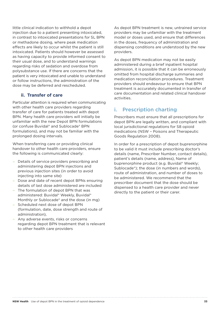little clinical indication to withhold a depot injection due to a patient presenting intoxicated, in contrast to intoxicated presentations for SL BPN or methadone dosing, where peak medication effects are likely to occur whilst the patient is still intoxicated. Patients should however be assessed as having capacity to provide informed consent to their usual dose, and to understand warnings regarding risks of sedation and overdose from polysubstance use. If there are concerns that the patient is very intoxicated and unable to understand or follow instructions, the administration of the dose may be deferred and rescheduled.

#### **ii. Transfer of care**

Particular attention is required when communicating with other health care providers regarding transfer of care for patients treated with depot BPN. Many health care providers will initially be unfamiliar with the new Depot BPN formulations (or confuse Buvidal® and Sublocade® BPN formulations), and may not be familiar with the prolonged dosing intervals.

When transferring care or providing clinical handover to other health care providers, ensure the following is communicated clearly:

- Details of service providers prescribing and administering depot BPN injections and previous injection sites (in order to avoid injecting into same site)
- Dose and date of recent depot BPNs ensuring details of last dose administered are included
- The formulation of depot BPN that was administered: Buvidal® Weekly, Buvidal® Monthly or Sublocade® and the dose (in mg)
- Scheduled next dose of depot BPN (formulation, date, dose strength and route of administration),
- Any adverse events, risks or concerns regarding depot BPN treatment that is relevant to other health care providers

As depot BPN treatment is new, untrained service providers may be unfamiliar with the treatment model or doses used, and ensure that differences in the doses, frequency of administration and dispensing conditions are understood by the new providers.

As depot BPN medication may not be easily administered during a brief inpatient hospital admission, it is possible that it can be erroneously omitted from hospital discharge summaries and medication reconciliation procedures. Treatment providers should endeavour to ensure that BPN treatment is accurately documented in transfer of care documentation and related clinical handover activities.

## i. Prescription charting

Prescribers must ensure that all prescriptions for depot BPN are legally written, and compliant with local jurisdictional regulations for S8 opioid medications (NSW – Poisons and Therapeutic Goods Regulation 2008).

In order for a prescription of depot buprenorphine to be valid it must include prescribing doctor's details (name, Prescriber Number, contact details), patient's details (name, address), Name of buprenorphine product (e.g. Buvidal® Weekly; Sublocade®); the dose (in numbers and words), route of administration, and number of doses to be administered. We recommend that the prescriber document that the dose should be dispensed to a health care provider and never directly to the patient or their carer.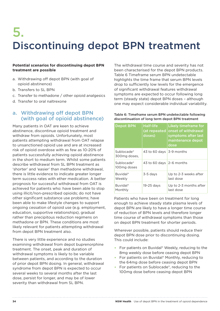## 5. Discontinuing depot BPN treatment

#### **Potential scenarios for discontinuing depot BPN treatment are possible**

- a. Withdrawing off depot BPN (with goal of opioid abstinence)
- b. Transfers to SL BPN
- c. Transfer to methadone / other opioid analgesics
- d. Transfer to oral naltrexone

## a. Withdrawing off depot BPN (with goal of opioid abstinence)

Many patients in OAT are keen to achieve abstinence, discontinue opioid treatment and withdraw from opioids. Unfortunately, most patients attempting withdrawal from OAT relapse to unsanctioned opioid use and are at increased risk of opioid overdose with as few as 10-20% of patients successfully achieving opioid abstinence in the short to medium term. Whilst some patients describe withdrawal from SL BPN treatment as 'shorter' and 'easier' than methadone withdrawal, there is little evidence to indicate greater longer term success rates with ether medication. A better prognosis for successful withdrawal from OAT is achieved for patients who: have been able to stop using illicit/non-prescribed opioids; do not have other significant substance use problems; have been able to make lifestyle changes to support ongoing cessation of opioid use (e.g. employment, education, supportive relationships), gradual rather than precipitous reduction regimens on methadone or BPN. These conditions are most likely relevant for patients attempting withdrawal from depot BPN treatment also.

There is very little experience and no studies examining withdrawal from depot buprenorphine treatment. The onset, peak and duration of withdrawal symptoms is likely to be variable between patients, and according to the duration of prior depot BPN dosing. In general, withdrawal syndrome from depot BPN is expected to occur several weeks to several months after the last dose, persist for longer, and may be of lower severity than withdrawal from SL BPN.

The withdrawal time course and severity has not been characterised for the depot BPN products. Table 6 Timeframe serum BPN undetectable highlights the time frame that serum BPN levels drop to sufficiently low levels for the emergence of significant withdrawal features withdrawal symptoms are expected to occur following long term (steady state) depot BPN doses – although one may expect considerable individual variability.

#### Table 6: Timeframe serum BPN undetectable following discontinuation of long term depot BPN treatment

| <b>Depot BPN</b>                                  | <b>Half-life</b><br>(at repeated<br>doses) | Likely timeframe for<br>onset of withdrawal<br>symptoms after last<br>maintenance depot<br>dose |
|---------------------------------------------------|--------------------------------------------|-------------------------------------------------------------------------------------------------|
| Sublocade <sup>®</sup><br>300mg doses,            | 43 to 60 days                              | 3-9 months                                                                                      |
| Sublocade <sup>®</sup><br>100 <sub>mg</sub> doses | 43 to 60 days $2-6$ months                 |                                                                                                 |
| Buvidal <sup>®</sup><br>Weekly                    | $3-5$ days                                 | Up to 2-3 weeks after<br>last dose                                                              |
| Buvidal <sup>®</sup><br>Monthly                   | 19-25 days                                 | Up to 2-3 months after<br>last dose                                                             |

Patients who have been on treatment for long enough to achieve steady state plasma levels of depot BPN are likely to have a longer time course of reduction of BPN levels and therefore longer time course of withdrawal symptoms than those on depot BPN treatment for shorter periods.

Wherever possible, patients should reduce their depot BPN dose prior to discontinuing dosing. This could include:

- For patients on Buvidal® Weekly, reducing to the 8mg weekly dose before ceasing depot BPN
- For patients on Buvidal® Monthly, reducing to the 64mg dose before ceasing depot BPN
- For patients on Sublocade®, reducing to the 100mg dose before ceasing depot BPN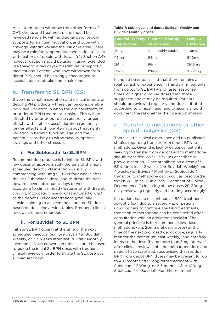As in attempts to withdraw from other forms of OAT, clients and treatment plans should be reviewed regularly, with additional psychosocial supports to maintain motivation, and cope with cravings, withdrawal and the risk of relapse. There may be a role for symptomatic medication to assist with features of opioid withdrawal ((2) Section A4), however caution should be used in using extended use (beyond a few days) of sedatives or hypnotic medications. Patients who have withdrawn from depot BPN should be strongly encouraged to access supplies of take home naloxone.

## b. Transfers to SL BPN (CS)

Given the variable excretion and clinical effects of depot BPN products – there can be considerable individual variation in when the clinical effects of prior depot BPN treatment subside. This will be affected by prior depot dose (generally longer effects with higher doses), duration (generally longer effects with long-term depot treatment), variation in hepatic function, age, and the patient's sensitivity to withdrawal symptoms, cravings and other stressors.

#### **i. For Sublocade® to SL BPN**

Recommended practice is to initiate SL BPN with low doses at approximately the time of the next scheduled depot BPN injection – usually commencing with 8mg SL BPN four weeks after the last Sublocade® dose, and to titrate the dose upwards over subsequent days or weeks according to clinical need (features of withdrawal, craving, intoxication, use of unsanctioned drugs) as the depot BPN concentrations gradually subside, aiming to achieve the expected SL dose based on dose conversion tables. Frequent clinical reviews are recommended.

### **ii. For Buvidal® to SL BPN**

Initiate SL BPN dosing at the time of the next scheduled injection (e.g. 5-9 days after Buvidal® Weekly, or 3-5 weeks after last Buvidal® Monthly injections). Dose conversion tables should be used to guide the initial SL BPN dose, with frequent clinical reviews in order to titrate the SL dose over subsequent days.

#### Table 7: Sublingual and depot Buvidal® Weekly and Buvidal® Monthly doses

| <b>Buvidal<sup>®</sup> Weekly</b><br>depot dose | <b>Buvidal<sup>®</sup> Monthly</b><br>depot dose | Daily SL<br><b>BPN</b> dose |
|-------------------------------------------------|--------------------------------------------------|-----------------------------|
| 8 <sub>mg</sub>                                 | No monthly equivalent $\leq 6$ mg                |                             |
| 16 <sub>mg</sub>                                | 64 <sub>mg</sub>                                 | 8-10 <sub>mg</sub>          |
| 24 <sub>mg</sub>                                | 96 <sub>mg</sub>                                 | $12-16$ mg                  |
| 32 <sub>mg</sub>                                | 128 <sub>mq</sub>                                | $18 - 32$ mg                |

It should be emphasised that there remains a relative lack of experience in transferring patients from depot to SL BPN – and faster response times, or higher or lower doses than those suggested above may be required. Patients should be reviewed regularly and doses titrated according to clinical need, and clinicians should document the rational for their decision-making.

## c. Transfer to methadone or other opioid analgesics (CS)

There is little clinical experience and no published studies regarding transfer from depot BPN to methadone. Given this lack of evidence, patients seeking to transfer from depot BPN to methadone should transition via SL BPN, (as described in previous section). Once stabilised on a dose of SL BPN for at least 2 weeks (for Buvidal® Weekly) and 4 weeks (for Buvidal® Monthly or Sublocade®), transition to methadone can occur, as described in the NSW Clinical Guidelines: Treatment of Opioid Dependence (1) initiating at low doses 20-30mg daily, reviewing regularly and titrating accordingly).

If a patient has to discontinue all BPN treatment abruptly (e.g. due to a severe AE, or patient unwillingness to continue any BPN treatment), transition to methadone can be considered after consultation with an addiction specialist. The general principle is to recommence low dose methadone (e.g. 20mg oral daily doses) at the time of the next proposed depot dose, regularly monitor the patient (at least weekly), and carefully increase the dose (by no more than 5mg intervals) after clinical reviews until the methadone dose and patient have stabilised, recognising that residual BPN from depot BPN doses may be present for up to 4-6 months after long term treatment with Sublocade® 300mg, or 2-3 months after 100mg Sublocade® or Buvidal® Monthly treatment.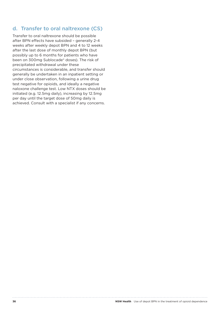## d. Transfer to oral naltrexone (CS)

Transfer to oral naltrexone should be possible after BPN effects have subsided – generally 2-4 weeks after weekly depot BPN and 4 to 12 weeks after the last dose of monthly depot BPN (but possibly up to 6 months for patients who have been on 300mg Sublocade® doses). The risk of precipitated withdrawal under these circumstances is considerable, and transfer should generally be undertaken in an inpatient setting or under close observation, following a urine drug test negative for opioids, and ideally a negative naloxone challenge test. Low NTX doses should be initiated (e.g. 12.5mg daily), increasing by 12.5mg per day until the target dose of 50mg daily is achieved. Consult with a specialist if any concerns.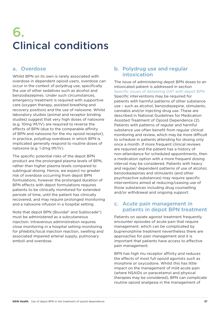## 6. Clinical conditions

### a. Overdose

Whilst BPN on its own is rarely associated with overdose in dependent opioid users, overdose can occur in the context of polydrug use, specifically the use of other sedatives such as alcohol and benzodiazepines. Under such circumstances, emergency treatment is required with supportive care (oxygen therapy, assisted breathing and recovery position) and the use of naloxone. Whilst laboratory studies (animal and receptor binding studies) suggest that very high doses of naloxone (e.g. 10mg IM/IV) are required to reverse the effects of BPN (due to the comparable affinity of BPN and naloxone for the mu opioid receptor), in practice, polydrug overdoses in which BPN is implicated generally respond to routine doses of naloxone (e.g. 1-2mg IM/IV).

The specific potential risks of the depot BPN product are the prolonged plasma levels of BPN, rather than higher plasma levels compared to sublingual dosing. Hence, we expect no greater risk of overdose occurring from depot BPN formulations, however the prolonged duration of BPN effects with depot formulations requires patients to be clinically monitored for extended periods of time, until the patient has clinically recovered, and may require prolonged monitoring and a naloxone infusion in a hospital setting.

Note that depot BPN (Buvidal® and Sublocade®) must be administered as a subcutaneous injection. Intravenous administration requires close monitoring in a hospital setting monitoring for phlebitis/local injection reaction, swelling and associated impaired arterial supply, pulmonary emboli and overdose.

### b. Polydrug use and regular intoxication

The issue of administering depot BPN doses to an intoxicated patient is addressed in section Specific issues of delivering OAT with depot BPN Specific interventions may be required for patients with harmful patterns of other substance use – such as alcohol, benzodiazepine, stimulants, cannabis and/or injecting drug use. These are described in National Guidelines for Medication Assisted Treatment of Opioid Dependence (2). Patients with patterns of regular and harmful substance use often benefit from regular clinical monitoring and review, which may be more difficult to schedule in patients attending for dosing only once a month. If more frequent clinical reviews are required and the patient has a history of non-attendance for scheduled appointments, then a medication option with a more frequent dosing interval may be considered. Patients with heavy and regular/ dependent patterns of use of alcohol, benzodiazepines and stimulants (and other psychoactive substances) may require specific interventions aimed at reducing/ceasing use of those substances including drug counselling and/or withdrawal and ongoing support.

## c. Acute pain management in patients in depot BPN treatment

Patients on opiate agonist treatment frequently encounter episodes of acute pain that require management, which can be complicated by buprenorphine treatment nevertheless there are approaches for pain management and it is important that patients have access to effective pain management.

BPN has high mu receptor affinity and reduces the effects of most full opioid agonists such as morphine or oxycodone. Whilst this has little impact on the management of mild acute pain (where NSAIDs or paracetamol and physical therapies may be considered), BPN can complicate routine opioid analgesia in the management of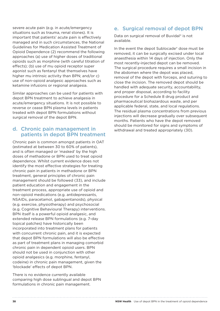severe acute pain (e.g. in acute/emergency situations such as trauma, renal stones). It is important that patients' acute pain is effectively managed and in such circumstances, the National Guidelines for Medication Assisted Treatment of Opioid Dependence (2) recommend the following approaches (a) use of higher doses of traditional opioids such as morphine (with careful titration of effects); (b) use of mu opioid receptor super agonist such as fentanyl that themselves have higher mu intrinsic activity than BPN; and/or c) use of non-opioid analgesic approaches such as ketamine infusions or regional analgesia.

Similar approaches can be used for patients with depot BPN treatment to achieve analgesia in acute/emergency situations. It is not possible to reverse or cease BPN plasma levels in patients treated with depot BPN formulations without surgical removal of the depot BPN.

## d. Chronic pain management in patients in depot BPN treatment

Chronic pain is common amongst patients in OAT (estimated at between 30 to 60% of patients), and is often managed or 'masked' by the high doses of methadone or BPN used to treat opioid dependence. Whilst current evidence does not identify the most effective strategies for treating chronic pain in patients in methadone or BPN treatment, general principles of chronic pain management should be followed (33), and include patient education and engagement in the treatment process, appropriate use of opioid and non-opioid medications (e.g. antidepressants, NSAIDs, paracetamol, gabapentanoids), physical (e.g. exercise, physiotherapy) and psychosocial (e.g. Cognitive Behavioural Therapy) interventions. BPN itself is a powerful opioid analgesic, and extended release BPN formulations (e.g. 7-day topical patches) have historically been incorporated into treatment plans for patients with concurrent chronic pain, and it is expected that depot BPN formulations will also be effective as part of treatment plans in managing comorbid chronic pain in dependent opioid users. BPN should not be used in conjunction with other opioid analgesics (e.g. morphine, fentanyl, codeine) in chronic pain management, given the 'blockade' effects of depot BPN.

There is no evidence currently available comparing high dose sublingual and depot BPN formulations in chronic pain management.

## e. Surgical removal of depot BPN

Data on surgical removal of Buvidal® is not available.

In the event the depot Sublocade® dose must be removed, it can be surgically excised under local anaesthesia within 14 days of injection. Only the most recently-injected depot can be removed. The surgical procedure requires a small incision in the abdomen where the depot was placed, removal of the depot with forceps, and suturing to close the incision. The removed depot should be handled with adequate security, accountability, and proper disposal, according to facility procedure for a Schedule 8 drug product and pharmaceutical biohazardous waste, and per applicable federal, state, and local regulations. The residual plasma concentrations from previous injections will decrease gradually over subsequent months. Patients who have the depot removed should be monitored for signs and symptoms of withdrawal and treated appropriately (30).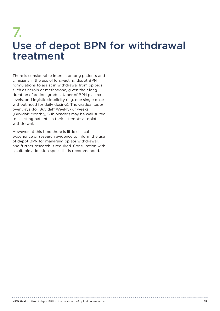## 7. Use of depot BPN for withdrawal treatment

There is considerable interest among patients and clinicians in the use of long-acting depot BPN formulations to assist in withdrawal from opioids such as heroin or methadone, given their long duration of action, gradual taper of BPN plasma levels, and logistic simplicity (e.g. one single dose without need for daily dosing). The gradual taper over days (for Buvidal® Weekly) or weeks (Buvidal® Monthly, Sublocade®) may be well suited to assisting patients in their attempts at opiate withdrawal.

However, at this time there is little clinical experience or research evidence to inform the use of depot BPN for managing opiate withdrawal, and further research is required. Consultation with a suitable addiction specialist is recommended.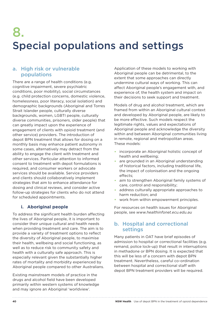## 8. Special populations and settings

## a. High risk or vulnerable populations

There are a range of health conditions (e.g. cognitive impairment, severe psychiatric conditions, poor mobility), social circumstances (e.g. child protection concerns, domestic violence, homelessness, poor literacy, social isolation) and demographic backgrounds (Aboriginal and Torres Strait Islander people, culturally diverse backgrounds, women, LGBTI people, culturally diverse communities, prisoners, older people) that can greatly impact upon the experience of engagement of clients with opioid treatment (and other service) providers. The introduction of depot BPN treatment that allows for dosing on a monthly basis may enhance patient autonomy in some cases, alternatively may detract from the ability to engage the client with treatment and other services. Particular attention to informed consent to treatment with depot formulations is required, and consumer workers or advocate services should be available. Service providers and clients should collaboratively implement strategies that aim to enhance attendance for dosing and clinical reviews, and consider active follow-up strategies for clients who do not attend for scheduled appointments.

### **i. Aboriginal people**

To address the significant health burden affecting the lives of Aboriginal people, it is important to consider their unique cultural and health needs when providing treatment and care. The aim is to provide a variety of treatment options to reflect the diversity of Aboriginal people, to maximise their health, wellbeing and social functioning, as well as to reduce risk to community safety and health with a culturally safe approach. This is especially relevant given the substantially higher rates of mortality and morbidity experienced by Aboriginal people compared to other Australians.

Existing mainstream models of practice in the drugs and alcohol field have been developed primarily within western systems of knowledge and may ignore an Aboriginal 'worldview'.

Application of these models to working with Aboriginal people can be detrimental, to the extent that some approaches can directly undermine cultural ways of working. This can affect Aboriginal people's engagement with, and experience of, the health system and impact on their decisions to seek support and treatment.

Models of drug and alcohol treatment, which are framed from within an Aboriginal cultural context and developed by Aboriginal people, are likely to be more effective. Such models respect the legitimate rights, values and expectations of Aboriginal people and acknowledge the diversity within and between Aboriginal communities living in remote, regional and metropolitan areas. These models:

- incorporate an Aboriginal holistic concept of health and wellbeing;
- are grounded in an Aboriginal understanding of historical factors, including traditional life, the impact of colonisation and the ongoing effects;
- aim to strengthen Aboriginal family systems of care, control and responsibility;
- address culturally appropriate approaches to harm reduction; and
- work from within empowerment principles.

For resources on health issues for Aboriginal people, see *www.healthinfonet.ecu.edu.au*

## b. Hospital and correctional settings

Many patients in OAT have brief episodes of admission to hospital or correctional facilities (e.g. remand, police lock-up) that result in interruptions in methadone or BPN dosing. It is expected that this will be less of a concern with depot BPN treatment. Nevertheless, careful co-ordination between hospital and correctional staff with depot BPN treatment providers will be required.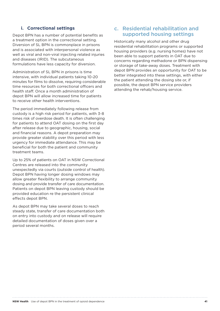### **i. Correctional settings**

Depot BPN has a number of potential benefits as a treatment option in the correctional setting. Diversion of SL BPN is commonplace in prisons and is associated with interpersonal violence as well as viral and non-viral injecting related injuries and diseases (IRID). The subcutaneous formulations have less capacity for diversion.

Administration of SL BPN in prisons is time intensive, with individual patients taking 10-20 minutes for films to dissolve, requiring considerable time resources for both correctional officers and health staff. Once a month administration of depot BPN will allow increased time for patients to receive other health interventions.

The period immediately following release from custody is a high risk period for patients, with 3-8 times risk of overdose death. It is often challenging for patients to attend OAT dosing on the first day after release due to geographic, housing, social and financial reasons. A depot preparation may provide greater stability over this period with less urgency for immediate attendance. This may be beneficial for both the patient and community treatment teams.

Up to 25% of patients on OAT in NSW Correctional Centres are released into the community unexpectedly via courts (outside control of health). Depot BPN having longer dosing windows may allow greater flexibility to arrange community dosing and provide transfer of care documentation. Patients on depot BPN leaving custody should be provided education re the persistent clinical effects depot BPN.

As depot BPN may take several doses to reach steady state, transfer of care documentation both on entry into custody and on release will require detailed documentation of doses given over a period several months.

## c. Residential rehabilitation and supported housing settings

Historically many alcohol and other drug residential rehabilitation programs or supported housing providers (e.g. nursing homes) have not been able to support patients in OAT due to concerns regarding methadone or BPN dispensing or storage of take-away doses. Treatment with depot BPN provides an opportunity for OAT to be better integrated into these settings, with either the patient attending the dosing site or, if possible, the depot BPN service providers attending the rehab/housing service.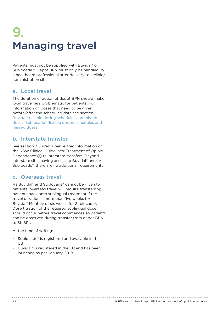## 9. Managing travel

Patients must not be supplied with Buvidal® or Sublocade ®. Depot BPN must only be handled by a healthcare professional after delivery to a clinic/ administration site.

### a. Local travel

The duration of action of depot BPN should make local travel less problematic for patients. For information on doses that need to be given before/after the scheduled date see section Buvidal® flexible dosing schedules and missed doses, Sublocade® flexible dosing schedules and missed doses.

## b. Interstate transfer

See section 3.5 Prescriber related information of the NSW Clinical Guidelines: Treatment of Opioid Dependence (1) re interstate transfers. Beyond interstate sites having access to Buvidal® and/or Sublocade®, there are no additional requirements.

## c. Overseas travel

As Buvidal® and Sublocade® cannot be given to patients, overseas travel will require transferring patients back onto sublingual treatment if the travel duration is more than five weeks for Buvidal® Monthly or six weeks for Sublocade®. Dose titration of the required sublingual dose should occur before travel commences so patients can be observed during transfer from depot BPN to SL BPN.

At the time of writing:

- Sublocade® is registered and available in the US
- Buvidal<sup>®</sup> is registered in the EU and has been launched as per January 2019.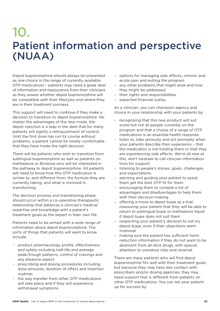## 10. Patient information and perspective (NUAA)

Depot buprenorphine should always be presented as one choice in the range of currently available OTP medications – patients may need a great deal of information and reassurance from their clinicians as they assess whether depot buprenorphine will be compatible with their lifestyles and where they are in their treatment journeys.

This support will need to continue if they make a decision to transition to depot buprenorphine. No matter the advantages of the new mode, the depot injection is a leap in the dark that for many patients will signify a relinquishment of control. Until the first dose has run its course without problems, a patient cannot be totally comfortable that they have made the right decision.

There will be patients who wish to transition from sublingual buprenorphine as well as patients on methadone or Biodone who will be interested in the pathway to depot buprenorphine. All patients will need to know how this OTP medication is similar to, and different from, the formula they are currently taking, and what is involved in transitioning.

The decision process and transitioning phase should occur within a co-operative therapeutic relationship that balances a clinician's medical expertise and knowledge with a patient's treatment goals as the expert in their own life.

Patients need to be armed with a wide range of information about depot buprenorphine. The sorts of things that patients will want to know include:

- product pharmacology profile, effectiveness and safety including half-life and average peak/trough patterns, control of cravings and any pleasure aspect
- prescribing and dosing procedures including dose amounts, duration of effect and insertion routines
- the way transfer from other OTP medications will take place and if they will experience withdrawal symptoms
- options for managing side effects, chronic and acute pain and exiting the program
- any other problems that might arise and how they might be addressed
- their rights and responsibilities
- expected financial outlay.

As a clinician, you can champion agency and choice in your relationship with your patients by:

- recognising that this new product will suit some but not all people currently on the program and that a choice of a range of OTP medications is an essential health response
- listen to, take seriously and act promptly when your patients describe their experience – that the medication is not holding them or that they are experiencing side effects. We're all new at this, don't hesitate to call clinician information lines for support
- listening to people's stories, goals, challenges and expectations
- advising and guiding your patient to assist them get the best OTP fit for them
- encouraging them to compile a list of advantages and disadvantages to help them with their decision-making
- offering a move to depot bupe as a trial, reassuring your patient that they will be able to return to sublingual bupe or methadone liquid if depot bupe does not suit them
- respecting your patient's decision to not try depot bupe, even if their objections seem irrational
- making sure the patient has sufficient harm reduction information if they do not want to be abstinent from all illicit drugs, with special attention to overdose risks and reversal.

There are many patients who will find depot buprenorphine fits well with their treatment goals, but because they may have less contact with prescribers and/or dosing agencies, they may need support that is different from patients on other OTP medications. You can set your patient up for success by: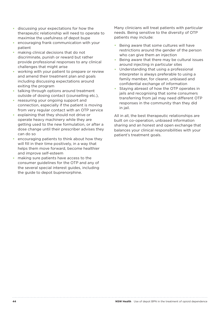- discussing your expectations for how the therapeutic relationship will need to operate to maximise the usefulness of depot bupe
- encouraging frank communication with your patient
- making clinical decisions that do not discriminate, punish or reward but rather provide professional responses to any clinical challenges that might arise
- working with your patient to prepare or review and amend their treatment plan and goals including discussing expectations around exiting the program
- talking through options around treatment outside of dosing contact (counselling etc.),
- reassuring your ongoing support and connection, especially if the patient is moving from very regular contact with an OTP service
- explaining that they should not drive or operate heavy machinery while they are getting used to the new formulation, or after a dose change until their prescriber advises they can do so
- encouraging patients to think about how they will fill in their time positively, in a way that helps them move forward, become healthier and improve self-esteem
- making sure patients have access to the consumer guidelines for the OTP and any of the several special interest guides, including the guide to depot buprenorphine.

Many clinicians will treat patients with particular needs. Being sensitive to the diversity of OTP patients may include:

- Being aware that some cultures will have restrictions around the gender of the person who can give them an injection
- Being aware that there may be cultural issues around injecting in particular sites
- Understanding that using a professional interpreter is always preferable to using a family member, for clearer, unbiased and confidential exchange of information
- Staying abreast of how the OTP operates in jails and recognising that some consumers transferring from jail may need different OTP responses in the community than they did in jail.

All in all, the best therapeutic relationships are built on co-operation, unbiased information sharing and an honest and open exchange that balances your clinical responsibilities with your patient's treatment goals.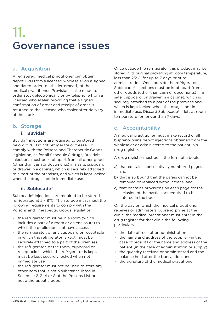## 11. Governance issues

## a. Acquisition

A registered medical practitioner can obtain depot BPN from a licensed wholesaler on a signed and dated order (on the letterhead) of the medical practitioner. Provision is also made to order stock electronically or by telephone from a licensed wholesaler, providing that a signed confirmation of order and receipt of order is returned to the licensed wholesaler after delivery of the stock.

### b. Storage

#### **i. Buvidal®**

Buvidal® injections are required to be stored below 25°C. Do not refrigerate or freeze. To comply with the Poisons and Therapeutic Goods legislation, as for all Schedule 8 drugs, Buvidal® injections must be kept apart from all other goods (other than cash or documents) in a safe, cupboard, or drawer in a cabinet, which is securely attached to a part of the premises, and which is kept locked when the drug is not in immediate use.

#### **ii. Sublocade®**

Sublocade® injections are required to be stored refrigerated at 2 – 8°C. The storage must meet the following requirements to comply with the Poisons and Therapeutic Goods legislation,

- the refrigerator must be in a room (which includes a part of a room or an enclosure) to which the public does not have access,
- the refrigerator, or any cupboard or receptacle in which the refrigerator is kept, must be securely attached to a part of the premises,
- the refrigerator, or the room, cupboard or receptacle in which the refrigerator is kept, must be kept securely locked when not in immediate use
- the refrigerator must not be used to store any other item that is not a substance listed in Schedule 2, 3, 4 or 8 of the Poisons List or is not a therapeutic good

Once outside the refrigerator this product may be stored in its original packaging at room temperature, less than 25°C, for up to 7 days prior to administration. Once outside the refrigerator, Sublocade® injections must be kept apart from all other goods (other than cash or documents) in a safe, cupboard, or drawer in a cabinet, which is securely attached to a part of the premises and which is kept locked when the drug is not in immediate use. Discard Sublocade® if left at room temperature for longer than 7 days.

## c. Accountability

A medical practitioner must make record of all buprenorphine depot injections obtained from the wholesaler or administered to the patient in a drug register.

A drug register must be in the form of a book:

- a) that contains consecutively numbered pages, and
- b) that is so bound that the pages cannot be removed or replaced without trace, and
- c) that contains provisions on each page for the inclusion of the particulars required to be entered in the book.

On the day on which the medical practitioner receives or administers buprenorphine at the clinic, the medical practitioner must enter in the drug register for that clinic the following particulars:

- the date of receipt or administration
- the name and address of the supplier (in the case of receipt) or the name and address of the patient (in the case of administration or supply)
- the quantity received or administered and the balance held after the transaction; and
- the signature of the medical practitioner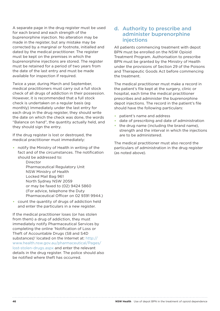A separate page in the drug register must be used for each brand and each strength of the buprenorphine injection. No alteration may be made in the register, but any mistake may be corrected by a marginal or footnote, initialled and dated by the medical practitioner. The register must be kept on the premises in which the buprenorphine injections are stored. The register must be retained for a period of two years from the date of the last entry and must be made available for inspection if required.

Twice a year, during March and September, medical practitioners must carry out a full stock check of all drugs of addiction in their possession. However, it is recommended that a full stock check is undertaken on a regular basis (eg monthly) Immediately under the last entry for each drug in the drug register, they should write the date on which the check was done, the words "Balance on hand", the quantity actually held, and they should sign the entry.

If the drug register is lost or destroyed, the medical practitioner must immediately:

- notify the Ministry of Health in writing of the fact and of the circumstances. The notification should be addressed to:
	- Director Pharmaceutical Regulatory Unit NSW Ministry of Health Locked Mail Bag 961 North Sydney NSW 2059 or may be faxed to (02) 9424 5860 (For advice, telephone the Duty Pharmaceutical Officer on 02 9391 9944.)
- count the quantity of drugs of addiction held and enter the particulars in a new register.

If the medical practitioner loses (or has stolen from them) a drug of addiction, they must immediately notify Pharmaceutical Services by completing the online 'Notification of Loss or Theft of Accountable Drugs (S8 and S4D substances)' located on the Internet at: http:// www.health.nsw.gov.au/pharmaceutical/Pages/ lost-stolen-drugs.aspx and enter the relevant details in the drug register. The police should also be notified where theft has occurred.

## d. Authority to prescribe and administer buprenorphine injections

All patients commencing treatment with depot BPN must be enrolled on the NSW Opioid Treatment Program. Authorisation to prescribe BPN must be granted by the Ministry of Health under the provisions of Section 29 of the Poisons and Therapeutic Goods Act before commencing the treatment.

The medical practitioner must make a record in the patient's file kept at the surgery, clinic or hospital, each time the medical practitioner prescribes and administer the buprenorphine depot injections. The record in the patient's file should have the following particulars:

- patient's name and address
- date of prescribing and date of administration
- the drug name (including the brand name), strength and the interval in which the injections are to be administered.

The medical practitioner must also record the particulars of administration in the drug register (as noted above).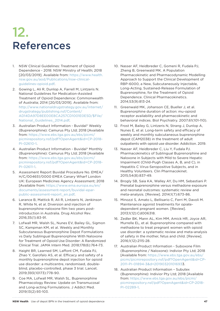## 12. References

- 1. NSW Clinical Guidelines: Treatment of Opioid Dependence - 2018: NSW Ministry of Health; 2018 [20/03/2019]. Available from: https://www.health. nsw.gov.au/aod/Publications/nsw-clinicalguidelines-opioid.pdf.
- 2. Gowing L, Ali R, Dunlop A, Farrell M, Lintzeris N. National Guidelines for Medication-Assisted Treatment of Opioid Dependence: Commonwealth of Australia; 2014 [20/03/2019]. Available from: http://www.nationaldrugstrategy.gov.au/internet/ drugstrategy/publishing.nsf/Content/ AD14DA97D8EE00E8CA257CD1001E0E5D/\$File/ National Guidelines 2014.pdf.
- 3. Australian Product Information Buvidal® Weekly (Buprenorphine): Camurus Pty Ltd; 2018 [Available from: https://www.ebs.tga.gov.au/ebs/picmi/ picmirepository.nsf/pdf?OpenAgent&id=CP-2018- PI-02610-1.
- 4. Australian Product Information Buvidal® Monthly (Buprenorphine): Camurus Pty Ltd; 2018 [Available from: https://www.ebs.tga.gov.au/ebs/picmi/ picmirepository.nsf/pdf?OpenAgent&id=CP-2018- PI-02611-1.
- 5. Assessment Report Buvidal Procedure No. EMEA/ H/C/004651/0000 EMEA Canary Wharf London UK: European Medicines Agency Assessment; 2018 [Available from: https://www.ema.europa.eu/en/ documents/assessment-report/buvidal-eparpublic-assessment-report\_en.pdf.
- 6. Larance B, Mattick R, Ali R, Lintzeris N, Jenkinson R, White N, et al. Diversion and injection of buprenorphine-naloxone film two years postintroduction in Australia. Drug Alcohol Rev. 2016;35(1):83-91.
- 7. Lofwall MR, Walsh SL, Nunes EV, Bailey GL, Sigmon SC, Kampman KM, et al. Weekly and Monthly Subcutaneous Buprenorphine Depot Formulations vs Daily Sublingual Buprenorphine With Naloxone for Treatment of Opioid Use Disorder: A Randomized Clinical Trial. JAMA Intern Med. 2018;178(6):764-73.
- 8. Haight BR, Learned SM, Laffont CM, Fudala PJ, Zhao Y, Garofalo AS, et al. Efficacy and safety of a monthly buprenorphine depot injection for opioid use disorder: a multicentre, randomised, doubleblind, placebo-controlled, phase 3 trial. Lancet. 2019;393(10173):778-90.
- 9. Coe MA, Lofwall MR, Walsh SL. Buprenorphine Pharmacology Review: Update on Transmucosal and Long-acting Formulations. J Addict Med. 2019;13(2):93-103.
- 10. Nasser AF, Heidbreder C, Gomeni R, Fudala PJ, Zheng B, Greenwald MK. A Population Pharmacokinetic and Pharmacodynamic Modelling Approach to Support the Clinical Development of RBP-6000, a New, Subcutaneously Injectable, Long-Acting, Sustained-Release Formulation of Buprenorphine, for the Treatment of Opioid Dependence. Clinical Pharmacokinetics. 2014;53(9):813-24.
- 11. Greenwald MK, Johanson CE, Bueller J, et al. Buprenorphine duration of action: mu-opioid receptor availability and pharmacokinetic and behavioral indices. Biol Psychiatry. 2007;61(101-110).
- 12. Frost M, Bailey G, Lintzeris N, Strang J, Dunlop A, Nunes E, et al. Long-term safety and efficacy of weekly and monthly subcutaneous buprenorphine depot (CAM2038) in the treatment of adult outpatients with opioid use disorder. Addiction. 2019.
- 13. Nasser AF, Heidbreder C, Liu Y, Fudala PJ. Pharmacokinetics of Sublingual Buprenorphine and Naloxone in Subjects with Mild to Severe Hepatic Impairment (Child-Pugh Classes A, B, and C), in Hepatitis C Virus-Seropositive Subjects, and in Healthy Volunteers. Clin Pharmacokinet. 2015;54(8):837-49.
- 14. Brogly SB, Saia KA, Walley AY, Du HM, Sebastiani P. Prenatal buprenorphine versus methadone exposure and neonatal outcomes: systematic review and meta-analysis. [Review]. 2014;1(7):673-86.
- 15. Minozzi S, Amato L, Bellisario C, Ferri M, Davoli M. Maintenance agonist treatments for opiatedependent pregnant women. [Review]. 2013;1(12):Cd006318.
- 16. Zedler BK, Mann AL, Kim MM, Amick HR, Joyce AR, Murrelle EL, et al. Buprenorphine compared with methadone to treat pregnant women with opioid use disorder: a systematic review and meta-analysis of safety in the mother, fetus and child. [Review]. 2016;1(12):2115-28.
- 17. Australian Product Information Suboxone Film (Buprenorphine / Naloxone): Indivior Pty Ltd; 2018 [Available from: https://www.ebs.tga.gov.au/ebs/ picmi/picmirepository.nsf/pdf?OpenAgent&id=CP-2011-PI-01894-3&d=201903201016933.
- 18. Australian Product Information Subutex (Buprenorphine): Indivior Pty Ltd; 2018 [Available from: https://www.ebs.tga.gov.au/ebs/picmi/ picmirepository.nsf/pdf?OpenAgent&id=CP-2018- PI-02289-1.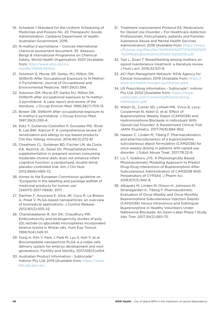- 19. Schedule 1-Standard for the Uniform Scheduling of Medicines and Poisons No. 20 Therapeutic Goods Administration, Canberra Department of Health, Australian Government; 2018.
- 20. N-methyl-2-pyrrolidone Concise international chemical assessment document; 35: Akesson, Bengt & International Programme on Chemical Safety, World Health Organisation; 2001 [Available from: http://www.who.int/iris/ handle/10665/42404.
- 21. Solomon G, Morse, EP, Garbo, MJ, Milton, DK. Stillbirth After Occupational Exposure to N-Methyl-2-Pyrrolidione. Journal of Occupational and Environmental Medicine. 1997;39(5):394.
- 22. Solomon GM, Morse EP, Garbo MJ, Milton DK. Stillbirth after occupational exposure to N-methyl-2-pyrrolidone. A case report and review of the literature. J Occup Environ Med. 1996;38(7):705-13.
- 23. Bower DB. Stillbirth after occupational exposure to N-methyl-2 pyrrolidone. J Occup Environ Med. 1997;39(5):393-4.
- 24. Katz Y, Gutierrez-Castrellon P, Gonzalez MG, Rivas R, Lee BW, Alarcon P. A comprehensive review of sensitization and allergy to soy-based products. Clin Rev Allergy Immunol. 2014;46(3):272-81.
- 25. Cheatham CL, Goldman BD, Fischer LM, da Costa KA, Reznick JS, Zeisel SH. Phosphatidylcholine supplementation in pregnant women consuming moderate-choline diets does not enhance infant cognitive function: a randomized, double-blind, placebo-controlled trial. Am J Clin Nutr. 2012;96(6):1465-72.
- 26. Annex to the European Commission guideline on 'Excipients in the labelling and package leaftlet of medicinal products for human use' (SANTE-2017-11668). 2017.
- 27. Danhier F, Ansorena E, Silva JM, Coco R, Le Breton A, Preat V. PLGA-based nanoparticles: an overview of biomedical applications. J Control Release. 2012;161(2):505-22.
- 28. Chandrasekaran R, Giri DK, Chaudhury MR. Embryotoxicity and teratogenicity studies of poly (DL-lactide-co-glycolide) microspheres incorporated tetanus toxoid in Wistar rats. Hum Exp Toxicol. 1996;15(4):349-51.
- 29. Song H, Kim Y, Park J, Park M, Lyu S, Koh Y, et al. Biocompatible nanoparticle PLGA is a noble safe delivery system for embryo development and next generations. Fertility and Sterility. 2017;108(3):e154.
- 30. Australian Product Information Sublocade®: Indivior Pty Ltd; 2019 [Available from: https://www. ebs.tga.gov.au/.
- 31. Treatment Improvement Protocol 63, Medications for Opioid Use Disorder – For Healthcare Addiction Professionals, Policymakers, patients and Families: Substance Abuse and Mental Health Services Administration; 2018 [Available from: https://www. cffutures.org/files/fdc/SAMHSA%20TIP%2063%20 -%20Medication%20OUD%20-%202018.pdf.
- 32. Tsai L, Doan T. Breastfeeding among mothers on opioid maintenance treatment: a literature review. J Hum Lact. 2016;32:521-9.
- 33. ACI Pain Managment Network: NSW Agency for Clinical Innovation; 2019 [Available from: https:// www.aci.health.nsw.gov.au/chronic-pain.
- 34. US Prescribing Information Sublocade®: Indivior Pty Ltd; 2002 [Available from: https://www. sublocade.com/Content/pdf/prescribinginformation.pdf.
- 35. Walsh SL, Comer SD, Lofwall MR, Vince B, Levy-Cooperman N, Kelsh D, et al. Effect of Buprenorphine Weekly Depot (CAM2038) and Hydromorphone Blockade in Individuals With Opioid Use Disorder: A Randomized Clinical Trial. JAMA Psychiatry. 2017;74(9):894-902.
- 36. Haasen C, Linden M, Tiberg F. Pharmacokinetics and pharmacodynamics of a buprenorphine subcutaneous depot formulation (CAM2038) for once-weekly dosing in patients with opioid use disorder. J Subst Abuse Treat. 2017;78:22-9.
- 37. Liu T, Gobburu JVS. A Physiologically Based Pharmacokinetic Modeling Approach to Predict Drug-Drug Interactions of Buprenorphine After Subcutaneous Administration of CAM2038 With Perpetrators of CYP3A4. J Pharm Sci. 2018;107(3):942-8.
- 38. Albayaty M, Linden M, Olsson H, Johnsson M, Strandgarden K, Tiberg F. Pharmacokinetic Evaluation of Once-Weekly and Once-Monthly Buprenorphine Subcutaneous Injection Depots (CAM2038) Versus Intravenous and Sublingual Buprenorphine in Healthy Volunteers Under Naltrexone Blockade: An Open-Label Phase 1 Study. Adv Ther. 2017;34(2):560-75.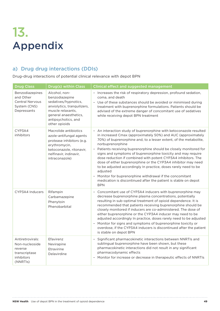## 13. Appendix

## a) Drug drug interactions (DDIs)

Drug-drug interactions of potential clinical relevance with depot BPN

| <b>Drug Class</b>                                                                        | Drug(s) within Class                                                                                                                                                         | <b>Clinical effect and suggested management</b>                                                                                                                                                                                                                                                                                                                                                                                                                                                                                                                                                                                                                                                                                  |
|------------------------------------------------------------------------------------------|------------------------------------------------------------------------------------------------------------------------------------------------------------------------------|----------------------------------------------------------------------------------------------------------------------------------------------------------------------------------------------------------------------------------------------------------------------------------------------------------------------------------------------------------------------------------------------------------------------------------------------------------------------------------------------------------------------------------------------------------------------------------------------------------------------------------------------------------------------------------------------------------------------------------|
| Benzodiazepines<br>and Other<br><b>Central Nervous</b><br>System (CNS)<br>Depressants    | Alcohol, non-<br>benzodiazepine<br>sedatives/hypnotics,<br>anxiolytics, tranquilizers,<br>muscle relaxants,<br>general anaesthetics,<br>antipsychotics, and<br>other opioids | - Increases the risk of respiratory depression, profound sedation,<br>coma, and death<br>- Use of these substances should be avoided or minimised during<br>treatment with buprenorphine formulations. Patients should be<br>advised of the extreme danger of concomitant use of sedatives<br>while receiving depot BPN treatment                                                                                                                                                                                                                                                                                                                                                                                                |
| CYP3A4<br>inhibitors                                                                     | Macrolide antibiotics<br>azole-antifungal agents<br>protease inhibitors (e.g.<br>erythromycin,<br>ketoconazole, ritonavir,<br>nelfinavir, indinavir,<br>intraconazole)       | - An interaction study of buprenorphine with ketoconazole resulted<br>in increased Cmax (approximately 50%) and AUC (approximately<br>70%) of buprenorphine and, to a lesser extent, of the metabolite,<br>norbuprenorphine<br>- Patients receiving buprenorphine should be closely monitored for<br>signs and symptoms of buprenorphine toxicity and may require<br>dose reduction if combined with potent CYP3A4 inhibitors. The<br>dose of either buprenorphine or the CYP3A4 inhibitor may need<br>to be adjusted accordingly In practice, doses rarely need to be<br>adjusted<br>- Monitor for buprenorphine withdrawal if the concomitant<br>medication is discontinued after the patient is stable on depot<br><b>BPN</b> |
| CYP3A4 Inducers                                                                          | Rifampin<br>Carbamazepine<br>Phenytoin<br>Phenobarbital                                                                                                                      | Concomitant use of CYP3A4 inducers with buprenorphine may<br>decrease buprenorphine plasma concentrations, potentially<br>resulting in sub-optimal treatment of opioid dependence. It is<br>recommended that patients receiving buprenorphine should be<br>closely monitored if inducers are co-administered. The dose of<br>either buprenorphine or the CYP3A4 inducer may need to be<br>adjusted accordingly In practice, doses rarely need to be adjusted<br>Monitor for signs and symptoms of buprenorphine toxicity or<br>$-$<br>overdose, if the CYP3A4 inducers is discontinued after the patient<br>is stable on depot BPN                                                                                               |
| Antiretrovirals:<br>Non-nucleoside<br>reverse<br>transcriptase<br>inhibitors<br>(NNRTIs) | Efavirenz<br>Nevirapine<br>Etravirine<br>Delavirdine                                                                                                                         | - Significant pharmacokinetic interactions between NNRTIs and<br>sublingual buprenorphine have been shown, but these<br>pharmacokinetic interactions did not result in any significant<br>pharmacodynamic effects<br>- Monitor for increase or decrease in therapeutic effects of NNRTIs                                                                                                                                                                                                                                                                                                                                                                                                                                         |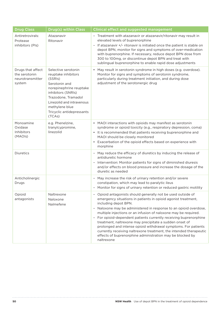| <b>Drug Class</b>                                                | Drug(s) within Class                                                                                                                                                                                                                 | <b>Clinical effect and suggested management</b>                                                                                                                                                                                                                                                                                                                                                                                                                                                                                                                                                                                                  |
|------------------------------------------------------------------|--------------------------------------------------------------------------------------------------------------------------------------------------------------------------------------------------------------------------------------|--------------------------------------------------------------------------------------------------------------------------------------------------------------------------------------------------------------------------------------------------------------------------------------------------------------------------------------------------------------------------------------------------------------------------------------------------------------------------------------------------------------------------------------------------------------------------------------------------------------------------------------------------|
| Antiretrovirals:<br>Protease<br>inhibitors (PIs)                 | Atazanavir<br>Ritonavir                                                                                                                                                                                                              | - Treatment with atazanavir or atazanavir/ritonavir may result in<br>elevated levels of buprenorphine<br>- If atazanavir +/- ritonavir is initiated once the patient is stable on<br>depot BPN, monitor for signs and symptoms of over-medication<br>with buprenorphine. If necessary, reduce depot BPN dose from<br>300 to 100mg, or discontinue depot BPN and treat with<br>sublingual buprenorphine to enable rapid dose adjustments                                                                                                                                                                                                          |
| Drugs that affect<br>the serotonin<br>neurotransmitter<br>system | Selective serotonin<br>reuptake inhibitors<br>(SSRIs)<br>Serotonin and<br>norepinephrine reuptake<br>inhibitors (SNRIs)<br>Trazodone, Tramadol<br>Linezolid and intravenous<br>methylene blue<br>Tricyclic antidepressants<br>(TCAS) | May result in serotonin syndrome in high doses (e.g. overdose).<br>$\bullet$<br>Monitor for signs and symptoms of serotonin syndrome,<br>particularly during treatment initiation, and during dose<br>adjustment of the serotonergic drug                                                                                                                                                                                                                                                                                                                                                                                                        |
| Monoamine<br>Oxidase<br><b>Inhibitors</b><br>(MAOIs)             | e.g. Phenelzine,<br>tranylcypromine,<br>linezolid                                                                                                                                                                                    | • MAOI interactions with opioids may manifest as serotonin<br>syndrome or opioid toxicity (e.g., respiratory depression, coma)<br>• It is recommended that patients receiving buprenorphine and<br>MAOI should be closely monitored<br>• Exacerbation of the opioid effects based on experience with<br>morphine                                                                                                                                                                                                                                                                                                                                 |
| <b>Diuretics</b>                                                 |                                                                                                                                                                                                                                      | - May reduce the efficacy of diuretics by inducing the release of<br>antidiuretic hormone<br>- Intervention: Monitor patients for signs of diminished diuresis<br>and/or effects on blood pressure and increase the dosage of the<br>diuretic as needed                                                                                                                                                                                                                                                                                                                                                                                          |
| Anticholinergic<br>Drugs                                         |                                                                                                                                                                                                                                      | - May increase the risk of urinary retention and/or severe<br>constipation, which may lead to paralytic ileus<br>- Monitor for signs of urinary retention or reduced gastric motility                                                                                                                                                                                                                                                                                                                                                                                                                                                            |
| Opioid<br>antagonists                                            | Naltrexone<br>Naloxone<br>Nalmefene                                                                                                                                                                                                  | - Opioid antagonists should generally not be used outside of<br>emergency situations in patients in opioid agonist treatment,<br>including depot BPN.<br>- Naloxone may be administered in response to an opioid overdose,<br>multiple injections or an infusion of naloxone may be required.<br>- For opioid-dependent patients currently receiving buprenorphine<br>treatment, naltrexone may precipitate a sudden onset of<br>prolonged and intense opioid withdrawal symptoms. For patients<br>currently receiving naltrexone treatment, the intended therapeutic<br>effects of buprenorphine administration may be blocked by<br>naltrexone |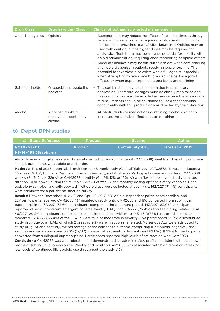| <b>Drug Class</b> | Drug(s) within Class                                     | <b>Clinical effect and suggested management</b>                                                                                                                                                                                                                                                                                                                                                                                                                                                                                                                                                                                                                                                                                                                                             |
|-------------------|----------------------------------------------------------|---------------------------------------------------------------------------------------------------------------------------------------------------------------------------------------------------------------------------------------------------------------------------------------------------------------------------------------------------------------------------------------------------------------------------------------------------------------------------------------------------------------------------------------------------------------------------------------------------------------------------------------------------------------------------------------------------------------------------------------------------------------------------------------------|
| Opioid analgesics | Opioids                                                  | Buprenorphine may reduce the effects of opioid analgesics through<br>$\overline{\phantom{a}}$<br>receptor blockade. Patients requiring analgesia should include<br>non-opioid approaches (e.g. NSAIDs, ketamine). Opioids may be<br>used with caution, but as higher doses may be required for<br>analgesic effect, there may be a higher potential for toxicity with<br>opioid administration, requiring close monitoring of opioid effects<br>Adequate analgesia may be difficult to achieve when administering<br>$-$<br>a full opioid agonist in patients receiving buprenorphine. The<br>potential for overdose also exists with a full agonist, especially<br>when attempting to overcome buprenorphine partial agonist<br>effects, or when buprenorphine plasma levels are declining |
| Gabapentinoids    | Gabapebtin, pregabelin,<br>baclofen                      | This combination may result in death due to respiratory<br>$\overline{\phantom{a}}$<br>depression. Therefore, dosages must be closely monitored and<br>this combination must be avoided in cases where there is a risk of<br>misuse. Patients should be cautioned to use gabapentinoids<br>concurrently with this product only as directed by their physician                                                                                                                                                                                                                                                                                                                                                                                                                               |
| Alcohol           | Alcoholic drinks or<br>medications containing<br>alcohol | Alcoholic drinks or medications containing alcohol as alcohol<br>$-$<br>increases the sedative effect of buprenorphine                                                                                                                                                                                                                                                                                                                                                                                                                                                                                                                                                                                                                                                                      |

## b) Depot BPN studies

| c) Study Reference                                | <b>Product</b>              | <b>Setting</b>       | <b>Author</b>    |
|---------------------------------------------------|-----------------------------|----------------------|------------------|
| <b>NCT02672111</b><br><b>HS-14-499 (Braeburn)</b> | <b>Buvidal</b> <sup>®</sup> | <b>Community AUS</b> | Frost et al 2019 |

**Aims:** To assess long-term safety of subcutaneous buprenorphine depot (CAM2038) weekly and monthly regimens in adult outpatients with opioid use disorder.

**Methods:** This phase 3, open-label, multicentre, 48-week study (ClinicalTrials.gov NCT02672111) was conducted at 26 sites (US, UK, Hungary, Denmark, Sweden, Germany, and Australia). Participants were administered CAM2038 weekly (8, 16, 24, or 32mg) or CAM2038 monthly (64, 96, 128, or 160mg) with flexible dosing and individualised titration up or down utilising the multiple CAM2038 weekly and monthly dosing options. Safety variables, urine toxicology samples, and self-reported illicit opioid use were collected at each visit. 162/227 (71.4%) participants were administered a patient satisfaction survey.

**Results:** Between December 14, 2015, and April 12, 2017, 228 opioid-dependent participants enrolled, and 227 participants received CAM2038 (37 initiated directly onto CAM2038 and 190 converted from sublingual buprenorphine). 167/227 (73.6%) participants completed the treatment period. 143/227 (63.0%) participants reported at least 1 treatment emergent adverse event (TEAE), and 60/227 (26.4%) reported a drug-related TEAE. 46/227 (20.3%) participants reported injection site reactions, with most (45/46 [97.8%]) reported as mild to moderate. 128/227 (56.4%) of the TEAEs were mild or moderate in severity. Five participants (2.2%) discontinued study drug due to a TEAE, of which 2 cases (0.9%) were injection site related. No serious AEs were attributed to study drug. At end of study, the percentage of the composite outcome comprising illicit opioid-negative urine samples and self-reports was 63.0% (17/37) in new-to-treatment participants and 82.8% (111/190) for participants converted from sublingual buprenorphine. Participants reported high levels of satisfaction with CAM2038.

**Conclusions:** CAM2038 was well-tolerated and demonstrated a systemic safety profile consistent with the known profile of sublingual buprenorphine. Weekly and monthly CAM2038 was associated with high retention rates and low levels of continued illicit opioid use throughout the study (12)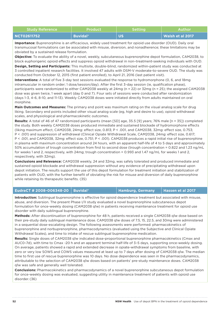|  |  |  |  |  | ection of CAM2038 q1w doses based on patients' pre-study maintenance doses. CAM2038 |
|--|--|--|--|--|-------------------------------------------------------------------------------------|
|  |  |  |  |  |                                                                                     |

**Conclusions:** Pharmacokinetics and pharmacodynamics of a novel buprenorphine subcutaneous depot formulation for once-weekly dosing was evaluated, suggesting utility in maintenance treatment of patients with opioid use disorder. (36)

| <b>Study Reference</b> | <b>Product</b> '           | <b>Setting</b> | Author                   |
|------------------------|----------------------------|----------------|--------------------------|
| NCT02611752 \          | <b>Buvidal<sup>®</sup></b> | <b>US</b>      | $\vert$ Walsh et al 2017 |

**Importance:** Buprenorphine is an efficacious, widely used treatment for opioid use disorder (OUD). Daily oral transmucosal formulations can be associated with misuse, diversion, and nonadherence; these limitations may be obviated by a sustained release formulation.

**Objective:** To evaluate the ability of a novel, weekly, subcutaneous buprenorphine depot formulation, CAM2038, to block euphorigenic opioid effects and suppress opioid withdrawal in non–treatment-seeking individuals with OUD. **Design, Setting and Participants:** This multisite, double-blind, randomized within-patient study was conducted at 3 controlled inpatient research facilities. It involved 47 adults with DSM-V moderate-to-severe OUD. The study was conducted from October 12, 2015 (first patient enrolled), to April 21, 2016 (last patient visit).

**Interventions:** A total of five 3-day test sessions evaluated the response to hydromorphone (0, 6, and 18mg intramuscular in random order; 1 dose/session/day). After the first 3-day session (ie, qualification phase), participants were randomized to either CAM2038 weekly at 24mg (n = 22) or 32mg (n = 25); the assigned CAM2038 dose was given twice, 1 week apart (day 0 and 7). Four sets of sessions were conducted after randomization (days 1-3, 4-6, 8-10, and 11-13). Weekly CAM2038 doses were initiated directly from adults maintained on oral morphine.

**Main Outcomes and Measures:** The primary end point was maximum rating on the visual analog scale for drug liking. Secondary end points included other visual analog scale (eg, high and desire to use), opioid withdrawal scales, and physiological and pharmacokinetic outcomes.

**Results:** A total of 46 of 47 randomized participants (mean [SD] age, 35.5 [9] years; 76% male [n = 35]) completed the study. Both weekly CAM2038 doses produced immediate and sustained blockade of hydromorphone effects (liking maximum effect, CAM2038, 24mg: effect size, 0.813; P < .001, and CAM2038, 32mg: effect size, 0.753; P < .001) and suppression of withdrawal (Clinical Opiate Withdrawal Scale, CAM2038, 24mg: effect size, 0.617; P < .001, and CAM2038, 32mg: effect size, 0.751; P < .001). CAM2038 produces a rapid initial rise of buprenorphine in plasma with maximum concentration around 24 hours, with an apparent half-life of 4 to 5 days and approximately 50% accumulation of trough concentration from first to second dose (trough concentration = 0.822 and 1.23 ng/mL for weeks 1 and 2, respectively, with 24mg; trough concentration = 0.993 and 1.47 ng/mL for weeks 1 and 2, respectively, with 32mg).

**Conclusions and Relevance:** CAM2038 weekly, 24 and 32mg, was safely tolerated and produced immediate and sustained opioid blockade and withdrawal suppression without any evidence of precipitating withdrawal upon depot initiation. The results support the use of this depot formulation for treatment initiation and stabilization of patients with OUD, with the further benefit of obviating the risk for misuse and diversion of daily buprenorphine while retaining its therapeutic benefits. (35)

#### **EudraCT # 2008-006348-20 Buvidal® Hamburg, Germany Hassen et al 2017**

**Introduction:** Sublingual buprenorphine is effective for opioid dependence treatment but associated with misuse, abuse, and diversion. The present Phase I/II study evaluated a novel buprenorphine subcutaneous depot formulation for once-weekly dosing (CAM2038 q1w) in patients receiving maintenance treatment for opioid use disorder with daily sublingual buprenorphine.

**Methods:** After discontinuation of buprenorphine for 48 h, patients received a single CAM2038 q1w dose based on their pre-study daily sublingual maintenance dose. CAM2038 q1w doses of 7.5, 15, 22.5, and 30mg were administered in a sequential dose-escalating design. The following assessments were performed: pharmacokinetics of buprenorphine and norbuprenorphine, pharmacodynamics (evaluated using the Subjective and Clinical Opiate Withdrawal Scales), and time to intake of rescue sublingual buprenorphine medication.

**Results:** Single doses of CAM2038 q1w indicated dose-proportional buprenorphine pharmacokinetics (Cmax and AUC0–7d), with time to Cmax ~20 h and an apparent terminal half-life of 3–5 days, supporting once-weekly dosing. On average, patients showed a rapid and extended decrease in opiate-withdrawal symptoms from baseline, with zero or very low SOWS and COWS values measured at least up to 7 days after dosing of CAM2038 q1w. The median time to first use of rescue buprenorphine was 10 days. No dose dependence was seen in the pharmacodynamics, attributable to the sele q1w was safe and generally well tolerated.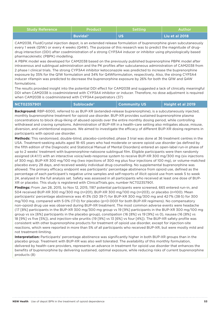| <b>Study Reference</b> | Product A            | <b>Setting</b> | Author                               |
|------------------------|----------------------|----------------|--------------------------------------|
|                        | Buvidal <sup>®</sup> | <b>US</b>      | $\prime\vert$ Liu et al 2018 $\vert$ |

CAM2038, FluidCrystal injection depot, is an extended release formulation of buprenorphine given subcutaneously every 1 week (Q1W) or every 4 weeks (Q4W). The purpose of this research was to predict the magnitude of drugdrug interaction (DDI) after coadministration of a strong CYP3A4 inducer or inhibitor using physiologically based pharmacokinetic (PBPK) modelling.

A PBPK model was developed for CAM2038 based on the previously published buprenorphine PBPK model after intravenous and sublingual administration and the PK profiles after subcutaneous administration of CAM2038 from 2 phase I clinical trials. The strong CYP3A4 inhibitor ketoconazole was predicted to increase the buprenorphine exposure by 35% for the Q1W formulation and 34% for Q4Wformulation, respectively. Also, the strong CYP3A4 inducer rifampin was predicted to decrease the buprenorphine exposure by 26% for both the Q1W and Q4W formulations.

The results provided insight into the potential DDI effect for CAM2038 and suggested a lack of clinically meaningful DDI when CAM2038 is coadministered with CYP3A4 inhibitor or inducer. Therefore, no dose adjustment is required when CAM2038 is coadministered with CYP3A4 perpetrators (37)

|  | <b>NCT02357901</b> | ∧ Sublocade® | ∣ Communitv US∣ | Haight et al 2019 |
|--|--------------------|--------------|-----------------|-------------------|
|--|--------------------|--------------|-----------------|-------------------|

**Background:** RBP-6000, referred to as BUP-XR (extended-release buprenorphine), is a subcutaneously injected, monthly buprenorphine treatment for opioid use disorder. BUP-XR provides sustained buprenorphine plasma concentrations to block drug-liking of abused opioids over the entire monthly dosing period, while controlling withdrawal and craving symptoms. Administration of BUP-XR in a health-care setting also mitigates abuse, misuse, diversion, and unintentional exposure. We aimed to investigate the efficacy of different BUP-XR dosing regimens in participants with opioid use disorder.

**Methods:** This randomised, double-blind, placebo-controlled, phase 3 trial was done at 36 treatment centres in the USA. Treatment-seeking adults aged 18–65 years who had moderate or severe opioid use disorder (as defined by the fifth edition of the Diagnostic and Statistical Manual of Mental Disorders) entered an open-label run-in phase of up to 2 weeks' treatment with buprenorphine-naloxone sublingual film. Eligible participants were then randomly assigned (4:4:1:1) with an interactive voice/web-response system to receive BUP-XR 300 mg/300 mg (six injections of 300 mg), BUP-XR 300 mg/100 mg (two injections of 300 mg plus four injections of 100 mg), or volume-matched placebo every 28 days, and received weekly individual drug counselling. No supplemental buprenorphine was allowed. The primary efficacy endpoint was participants' percentage abstinence from opioid use, defined as the percentage of each participant's negative urine samples and self-reports of illicit opioid use from week 5 to week 24, analysed in the full analysis set. Safety was assessed in all participants who received at least one dose of BUP-XR or placebo. This study is registered with ClinicalTrials.gov, number NCT02357901.

**Findings:** From Jan 28, 2015, to Nov 12, 2015, 1187 potential participants were screened, 665 entered run-in, and 504 received BUP-XR 300 mg/300 mg (n=201), BUP-XR 300 mg/100 mg (n=203), or placebo (n=100). Mean participants' percentage abstinence was 41·3% (SD 39·7) for BUP-XR 300 mg/300 mg and 42·7% (38·5) for 300 mg/100 mg, compared with 5·0% (17·0) for placebo (p<0·0001 for both BUP-XR regimens). No compensatory non-opioid drug use was observed during BUP-XR treatment. The most common adverse events were headache (17 [8%] participants in the BUP-XR 300 mg/300 mg group vs 19 [9%] participants in the BUP-XR 300 mg/100 mg group vs six [6%] participants in the placebo group), constipation (16 [8%] vs 19 [9%] vs 0), nausea (16 [8%] vs 18 [9%] vs five [5%]), and injection-site pruritis (19 [9%] vs 13 [6%] vs four [4%]). The BUP-XR safety profile was consistent with other buprenorphine products for treatment of opioid use disorder, except for injection-site reactions, which were reported in more than 5% of all participants who received BUP-XR, but were mostly mild and not treatment-limiting.

**Interpretation:** Participants' percentage abstinence was significantly higher in both BUP-XR groups than in the placebo group. Treatment with BUP-XR was also well tolerated. The availability of this monthly formulation, delivered by health-care providers, represents an advance in treatment for opioid use disorder that enhances the benefits of buprenorphine by delivering sustained, optimal exposure, while reducing risks of current buprenorphine products (8)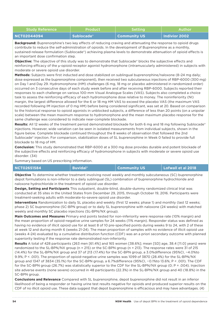| Study Reference    | <b>Product</b>                | <b>Setting</b>      | Author                |
|--------------------|-------------------------------|---------------------|-----------------------|
| <b>NCT02044094</b> | $\mid$ Sublocade $^{\circ}$ . | <b>Community US</b> | $\vert$ Indivior 2002 |

**Background:** Buprenorphine's two key effects of reducing craving and attenuating the response to opioid drugs contribute to reduce the self-administration of opioids. In the development of Buprenorphine as a monthly, sustained-release formulation (Sublocade®) achieving plasma levels to demonstrate attenuation of opioid effects is an important dose confirmation step.

**Objective:** The objective of this study was to demonstrate that Sublocade® blocks the subjective effects and reinforcing efficacy of the μ-opioid receptor agonist hydromorphone (intramuscularly administered) in subjects with moderate or severe opioid use disorder.

**Methods:** Subjects were first inducted and dose stabilized on sublingual buprenorphine/naloxone (8–24 mg daily; dose expressed as the buprenorphine component), then received two subcutaneous injections of RBP-6000 (300 mg) on Day 1 and Day 29. Hydromorphone (HM) challenges (6 mg, 18 mg or placebo administered in randomized order) occurred on 3 consecutive days of each study week before and after receiving RBP-6000. Subjects reported their responses to each challenge on various 100-mm Visual Analogue Scales (VAS). Subjects also completed a choice task to assess the reinforcing efficacy of each hydromorphone dose relative to money. The noninferiority (NI) margin, the largest difference allowed for the 6 or 18 mg HM VAS to exceed the placebo VAS (the maximum VAS recorded following IM injection of 0 mg HM) before being considered significant, was set at 20. Based on comparison to the historical response to opioid agonists in unblocked subjects, a difference of less than 20 points (on a unipolar scale) between the mean maximum response to hydromorphone and the mean maximum placebo response for the same challenge was considered to indicate near-complete blockade.

**Results:** All 12 weeks of the treatment period demonstrated blockade for both 6 mg and 18 mg following Sublocade® injections. However, wide variation can be seen in isolated measurements from individual subjects, shown in the figure below. Complete blockade continued throughout the 8 weeks of observation that followed the 2nd Sublocade® injection. For comparison, stabilization doses of SL buprenorphine in Week 0 failed to provide full blockade to 18 mg of HM.

**Conclusion:** This study demonstrated that RBP-6000 at a 300 mg dose provides durable and potent blockade of the subjective effects and reinforcing efficacy of hydromorphone in subjects with moderate or severe opioid use disorder. (34)

Summary based on US prescribing information.

|  | <b>NCT02651584</b> | <b>Buvidal<sup>®</sup></b> | Community US | $\vert\vert$ Lofwall et al 2018 $\vert$ |
|--|--------------------|----------------------------|--------------|-----------------------------------------|
|--|--------------------|----------------------------|--------------|-----------------------------------------|

**Objective** To determine whether treatment involving novel weekly and monthly subcutaneous (SC) buprenorphine depot formulations is non-inferior to a daily sublingual (SL) combination of buprenorphine hydrochloride and naloxone hydrochloride in the treatment of opioid use disorder.

**Design, Setting and Participants** This outpatient, double-blind, double-dummy randomized clinical trial was conducted at 35 sites in the United States from December 29, 2015, through October 19, 2016. Participants were treatment-seeking adults with moderate-to-severe opioid use disorder.

**Interventions** Randomization to daily SL placebo and weekly (first 12 weeks; phase 1) and monthly (last 12 weeks; phase 2) SC buprenorphine (SC-BPN group) or to daily SL buprenorphine with naloxone (24 weeks) with matched weekly and monthly SC placebo injections (SL-BPN/NX group).

**Main Outcomes and Measures** Primary end points tested for non-inferiority were response rate (10% margin) and the mean proportion of opioid-negative urine samples for 24 weeks (11% margin). Responder status was defined as having no evidence of illicit opioid use for at least 8 of 10 pre-specified points during weeks 9 to 24, with 2 of these at week 12 and during month 6 (weeks 21-24). The mean proportion of samples with no evidence of illicit opioid use (weeks 4-24) evaluated by a cumulative distribution function (CDF) was an a priori secondary outcome with planned superiority testing if the response rate demonstrated non-inferiority.

**Results** A total of 428 participants (263 men [61.4%] and 165 women [38.6%]; mean [SD] age, 38.4 [11.0] years) were randomized to the SL-BPN/NX group (n = 215) or the SC-BPN group (n = 213). The response rates were 31 of 215 (14.4%) for the SL-BPN/NX group and 37 of 213 (17.4%) for the SC-BPN group, a 3.0%difference (95%CI, −4.0%to 9.9%; P < .001). The proportion of opioid-negative urine samples was 1099 of 3870 (28.4%) for the SL-BPN/NX group and 1347 of 3834 (35.1%) for the SC-BPN group, a 6.7%difference (95%CI, −0.1%to 13.6%; P < .001). The CDF for the SC-BPN group (26.7%) was statistically superior to the CDF for the SL-BPN/NX group (0; P = .004). Injection site adverse events (none severe) occurred in 48 participants (22.3%) in the SL-BPN/NX group and 40 (18.8%) in the SC-BPN group.

**Conclusions and Relevance** Compared with SL buprenorphine, depot buprenorphine did not result in an inferior likelihood of being a responder or having urine test results negative for opioids and produced superior results on the CDF of no illicit opioid use. These data suggest that depot buprenorphine is efficacious and may have advantages. (4)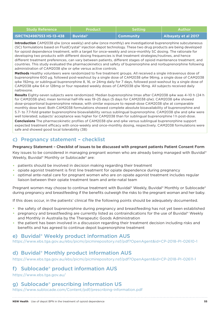| <b>Study Reference</b>          | <b>Product</b>       | <b>Setting</b>   | Author              |
|---------------------------------|----------------------|------------------|---------------------|
| <b>ISRCTN24987553 HS-13-438</b> | Buvidal <sup>®</sup> | $\mid$ Community | Albayaty et al 2017 |

**Introduction** CAM2038 q1w (once weekly) and q4w (once monthly) are investigational buprenorphine subcutaneous (SC) formulations based on FluidCrystal® injection depot technology. These two drug products are being developed for opioid dependence treatment, with a target for once-weekly and once-monthly SC dosing. The rationale for developing two products with different dosing frequencies is that treatment strategies/routines, and hence different treatment preferences, can vary between patients, different stages of opioid maintenance treatment, and countries. This study evaluated the pharmacokinetics and safety of buprenorphine and norbuprenorphine following administration of CAM2038 q1w or q4w versus active controls.

**Methods** Healthy volunteers were randomized to five treatment groups. All received a single intravenous dose of buprenorphine 600 µg, followed post-washout by a single dose of CAM2038 q4w 96mg, a single dose of CAM2038 q4w 192mg, or sublingual buprenorphine 8, 16, or 24mg daily for 7 days, followed post-washout by a single dose of CAM2038 q4w 64 or 128mg or four repeated weekly doses of CAM2038 q1w 16mg. All subjects received daily naltrexone.

**Results** Eighty-seven subjects were randomized. Median buprenorphine tmax after CAM2038 q4w was 4–10 h (24 h for CAM2038 q1w); mean terminal half-life was 19–25 days (5 days for CAM2038 q1w). CAM2038 q4w showed dose-proportional buprenorphine release, with similar exposure to repeat-dose CAM2038 q1w at comparable monthly dose level. Both CAM2038 formulations showed complete absolute bioavailability of buprenorphine and 5.7- to 7.7-fold greater buprenorphine bioavailability versus sublingual buprenorphine. CAM2038 q1w and q4w were well tolerated; subjects' acceptance was higher for CAM2038 than for sublingual buprenorphine 1 h post-dose. **Conclusions** The pharmacokinetic profiles of CAM2038 q1w and q4w versus sublingual buprenorphine support expected treatment efficacy with once-weekly and once-monthly dosing, respectively. CAM2038 formulations were safe and showed good local tolerability (38)

## c) Pregnancy statement – checklist

#### Pregnancy Statement – Checklist of issues to be discussed with pregnant patients Patient Consent Form

Key issues to be considered in managing pregnant women who are already being managed with Buvidal® Weekly, Buvidal® Monthly or Sublocade® are:

- patients should be involved in decision making regarding their treatment
- opiate agonist treatment is first line treatment for opiate dependence during pregnancy
- optimal ante-natal care for pregnant women who are on opiate agonist treatment includes regular liaison between their opiate treatment team and ante-natal team

Pregnant women may choose to continue treatment with Buvidal® Weekly, Buvidal® Monthly or Sublocade® during pregnancy and breastfeeding if the benefits outweigh the risks to the pregnant woman and her baby.

If this does occur, in the patients' clinical file the following points should be adequately documented.

- the safety of depot buprenorphine during pregnancy and breastfeeding has not yet been established
- pregnancy and breastfeeding are currently listed as contraindications for the use of Buvidal® Weekly and Monthly in Australia by the Therapeutic Goods Administration
- the patient has been involved in a discussion regarding their treatment decision including risks and benefits and has agreed to continue depot buprenorphine treatment

## e) Buvidal® Weekly product information AUS

https://www.ebs.tga.gov.au/ebs/picmi/picmirepository.nsf/pdf?OpenAgent&id=CP-2018-PI-02610-1

## d) Buvidal® Monthly product information AUS

https://www.ebs.tga.gov.au/ebs/picmi/picmirepository.nsf/pdf?OpenAgent&id=CP-2018-PI-02611-1

## f) Sublocade® product information AUS

https://www.ebs.tga.gov.au/

## g) Sublocade® prescribing information US

https://www.sublocade.com/Content/pdf/prescribing-information.pdf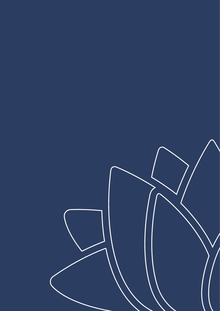